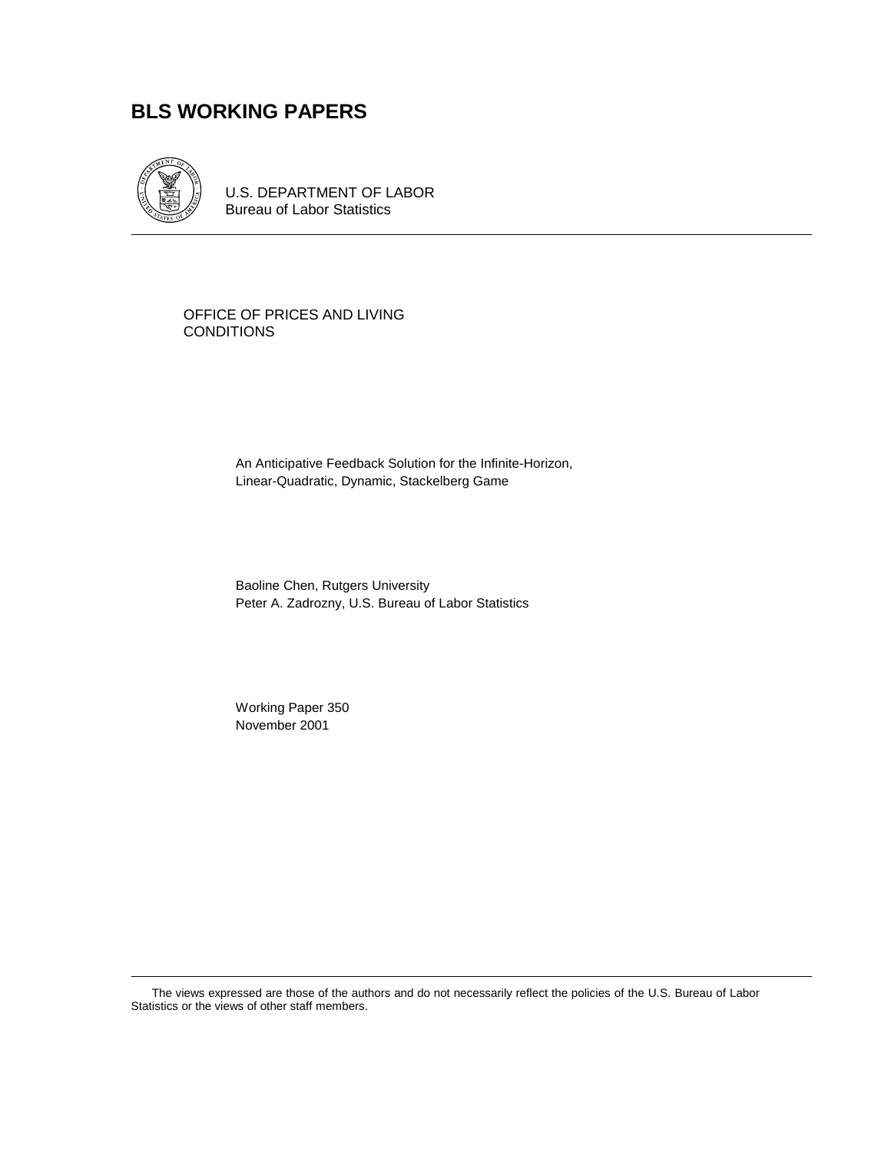# **BLS WORKING PAPERS**



U.S. DEPARTMENT OF LABOR Bureau of Labor Statistics

OFFICE OF PRICES AND LIVING **CONDITIONS** 

> An Anticipative Feedback Solution for the Infinite-Horizon, Linear-Quadratic, Dynamic, Stackelberg Game

Baoline Chen, Rutgers University Peter A. Zadrozny, U.S. Bureau of Labor Statistics

Working Paper 350 November 2001

The views expressed are those of the authors and do not necessarily reflect the policies of the U.S. Bureau of Labor Statistics or the views of other staff members.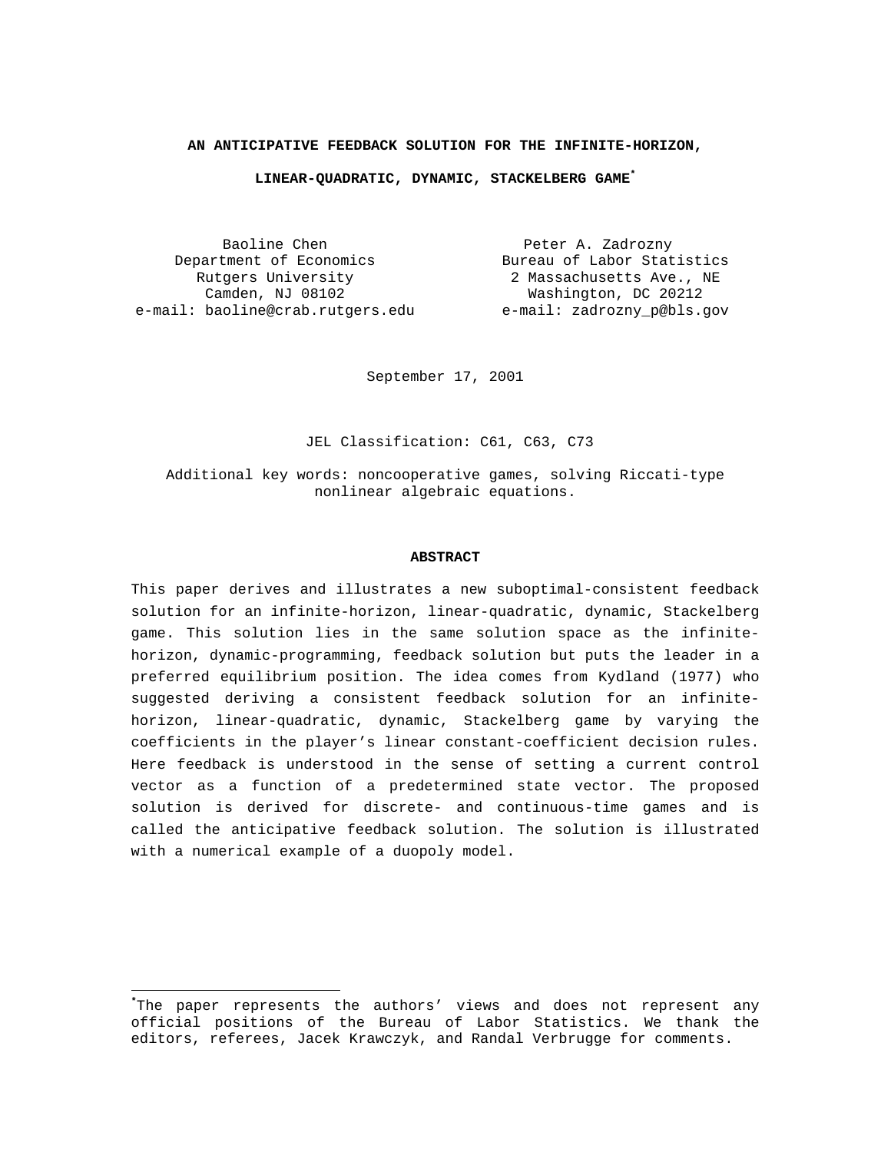#### **AN ANTICIPATIVE FEEDBACK SOLUTION FOR THE INFINITE-HORIZON,**

#### **LINEAR-QUADRATIC, DYNAMIC, STACKELBERG GAME\***

Baoline Chen **Peter A. Zadrozny** Department of Economics<br>Rutgers University Rutgers University Camden, NJ 08102 e-mail: baoline@crab.rutgers.edu e-mail: zadrozny\_p@bls.gov

٠

Bureau of Labor Statistics 2 Massachusetts Ave., NE Washington, DC 20212

September 17, 2001

JEL Classification: C61, C63, C73

Additional key words: noncooperative games, solving Riccati-type nonlinear algebraic equations.

#### **ABSTRACT**

This paper derives and illustrates a new suboptimal-consistent feedback solution for an infinite-horizon, linear-quadratic, dynamic, Stackelberg game. This solution lies in the same solution space as the infinitehorizon, dynamic-programming, feedback solution but puts the leader in a preferred equilibrium position. The idea comes from Kydland (1977) who suggested deriving a consistent feedback solution for an infinitehorizon, linear-quadratic, dynamic, Stackelberg game by varying the coefficients in the player's linear constant-coefficient decision rules. Here feedback is understood in the sense of setting a current control vector as a function of a predetermined state vector. The proposed solution is derived for discrete- and continuous-time games and is called the anticipative feedback solution. The solution is illustrated with a numerical example of a duopoly model.

**<sup>\*</sup>** The paper represents the authors' views and does not represent any official positions of the Bureau of Labor Statistics. We thank the editors, referees, Jacek Krawczyk, and Randal Verbrugge for comments.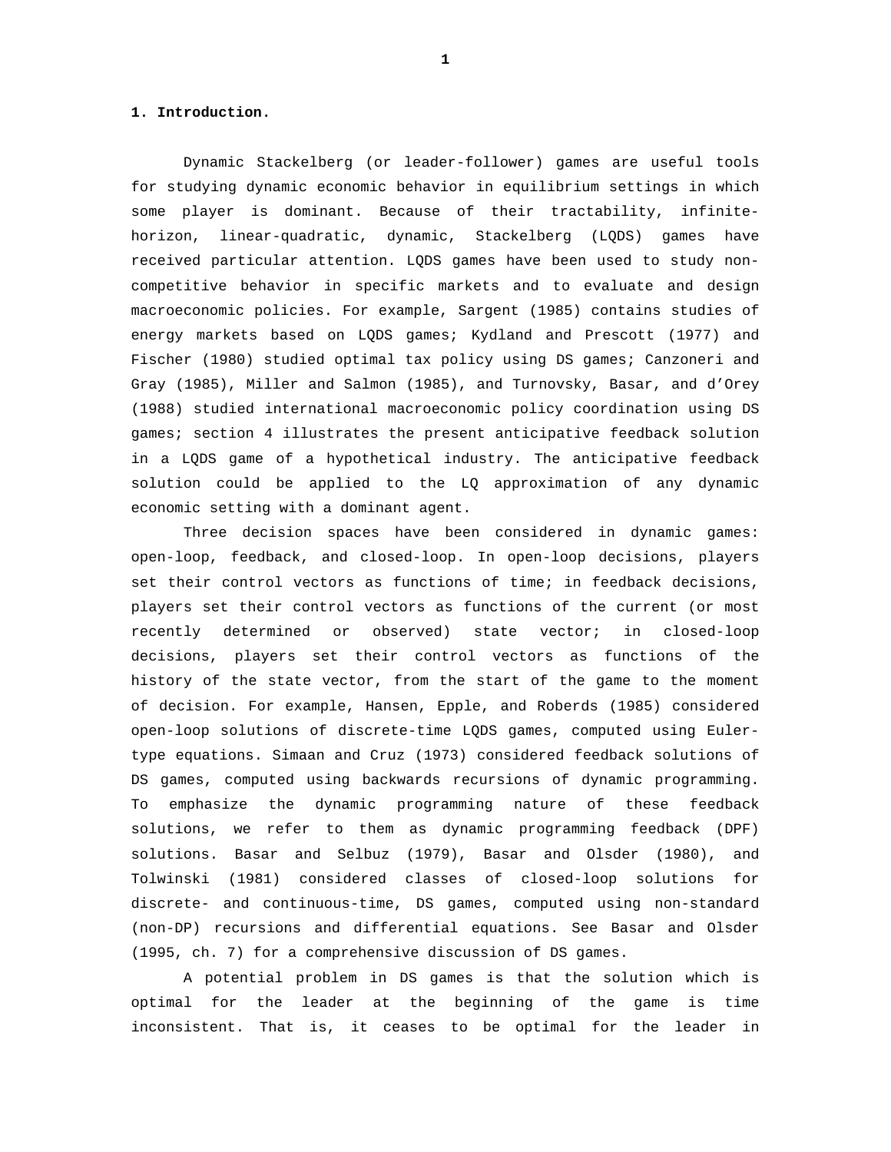## **1. Introduction.**

Dynamic Stackelberg (or leader-follower) games are useful tools for studying dynamic economic behavior in equilibrium settings in which some player is dominant. Because of their tractability, infinitehorizon, linear-quadratic, dynamic, Stackelberg (LQDS) games have received particular attention. LQDS games have been used to study noncompetitive behavior in specific markets and to evaluate and design macroeconomic policies. For example, Sargent (1985) contains studies of energy markets based on LQDS games; Kydland and Prescott (1977) and Fischer (1980) studied optimal tax policy using DS games; Canzoneri and Gray (1985), Miller and Salmon (1985), and Turnovsky, Basar, and d'Orey (1988) studied international macroeconomic policy coordination using DS games; section 4 illustrates the present anticipative feedback solution in a LQDS game of a hypothetical industry. The anticipative feedback solution could be applied to the LQ approximation of any dynamic economic setting with a dominant agent.

Three decision spaces have been considered in dynamic games: open-loop, feedback, and closed-loop. In open-loop decisions, players set their control vectors as functions of time; in feedback decisions, players set their control vectors as functions of the current (or most recently determined or observed) state vector; in closed-loop decisions, players set their control vectors as functions of the history of the state vector, from the start of the game to the moment of decision. For example, Hansen, Epple, and Roberds (1985) considered open-loop solutions of discrete-time LQDS games, computed using Eulertype equations. Simaan and Cruz (1973) considered feedback solutions of DS games, computed using backwards recursions of dynamic programming. To emphasize the dynamic programming nature of these feedback solutions, we refer to them as dynamic programming feedback (DPF) solutions. Basar and Selbuz (1979), Basar and Olsder (1980), and Tolwinski (1981) considered classes of closed-loop solutions for discrete- and continuous-time, DS games, computed using non-standard (non-DP) recursions and differential equations. See Basar and Olsder (1995, ch. 7) for a comprehensive discussion of DS games.

A potential problem in DS games is that the solution which is optimal for the leader at the beginning of the game is time inconsistent. That is, it ceases to be optimal for the leader in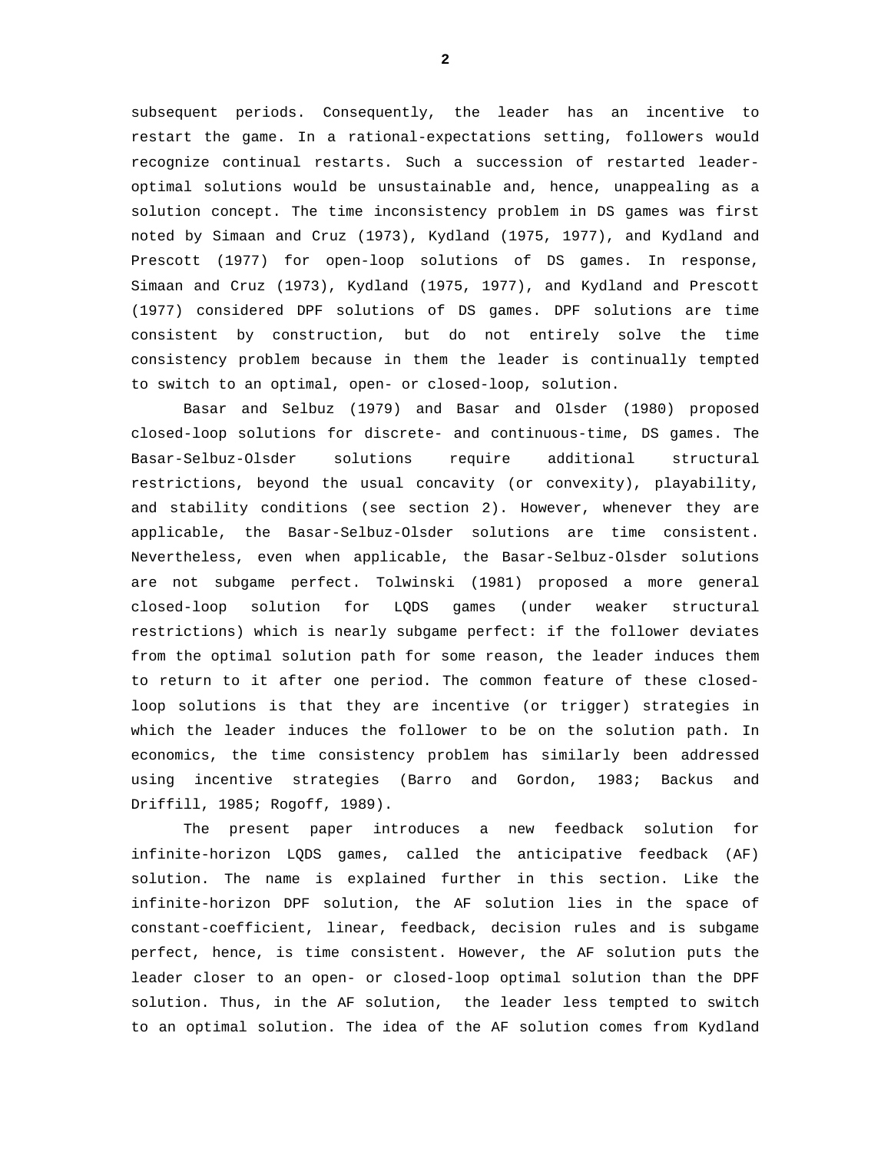subsequent periods. Consequently, the leader has an incentive to restart the game. In a rational-expectations setting, followers would recognize continual restarts. Such a succession of restarted leaderoptimal solutions would be unsustainable and, hence, unappealing as a solution concept. The time inconsistency problem in DS games was first noted by Simaan and Cruz (1973), Kydland (1975, 1977), and Kydland and Prescott (1977) for open-loop solutions of DS games. In response, Simaan and Cruz (1973), Kydland (1975, 1977), and Kydland and Prescott (1977) considered DPF solutions of DS games. DPF solutions are time consistent by construction, but do not entirely solve the time consistency problem because in them the leader is continually tempted to switch to an optimal, open- or closed-loop, solution.

Basar and Selbuz (1979) and Basar and Olsder (1980) proposed closed-loop solutions for discrete- and continuous-time, DS games. The Basar-Selbuz-Olsder solutions require additional structural restrictions, beyond the usual concavity (or convexity), playability, and stability conditions (see section 2). However, whenever they are applicable, the Basar-Selbuz-Olsder solutions are time consistent. Nevertheless, even when applicable, the Basar-Selbuz-Olsder solutions are not subgame perfect. Tolwinski (1981) proposed a more general closed-loop solution for LQDS games (under weaker structural restrictions) which is nearly subgame perfect: if the follower deviates from the optimal solution path for some reason, the leader induces them to return to it after one period. The common feature of these closedloop solutions is that they are incentive (or trigger) strategies in which the leader induces the follower to be on the solution path. In economics, the time consistency problem has similarly been addressed using incentive strategies (Barro and Gordon, 1983; Backus and Driffill, 1985; Rogoff, 1989).

The present paper introduces a new feedback solution for infinite-horizon LQDS games, called the anticipative feedback (AF) solution. The name is explained further in this section. Like the infinite-horizon DPF solution, the AF solution lies in the space of constant-coefficient, linear, feedback, decision rules and is subgame perfect, hence, is time consistent. However, the AF solution puts the leader closer to an open- or closed-loop optimal solution than the DPF solution. Thus, in the AF solution, the leader less tempted to switch to an optimal solution. The idea of the AF solution comes from Kydland

**2**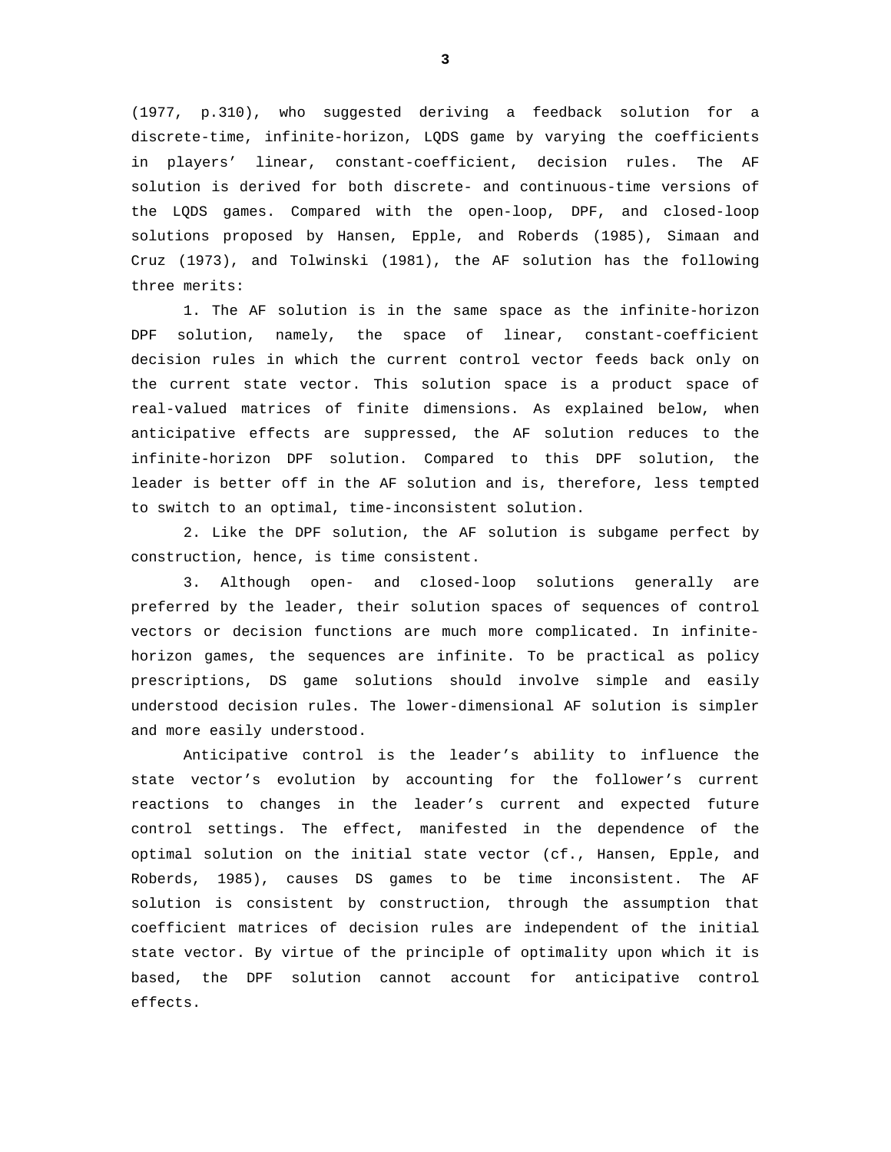(1977, p.310), who suggested deriving a feedback solution for a discrete-time, infinite-horizon, LQDS game by varying the coefficients in players' linear, constant-coefficient, decision rules. The AF solution is derived for both discrete- and continuous-time versions of the LQDS games. Compared with the open-loop, DPF, and closed-loop solutions proposed by Hansen, Epple, and Roberds (1985), Simaan and Cruz (1973), and Tolwinski (1981), the AF solution has the following three merits:

1. The AF solution is in the same space as the infinite-horizon DPF solution, namely, the space of linear, constant-coefficient decision rules in which the current control vector feeds back only on the current state vector. This solution space is a product space of real-valued matrices of finite dimensions. As explained below, when anticipative effects are suppressed, the AF solution reduces to the infinite-horizon DPF solution. Compared to this DPF solution, the leader is better off in the AF solution and is, therefore, less tempted to switch to an optimal, time-inconsistent solution.

2. Like the DPF solution, the AF solution is subgame perfect by construction, hence, is time consistent.

3. Although open- and closed-loop solutions generally are preferred by the leader, their solution spaces of sequences of control vectors or decision functions are much more complicated. In infinitehorizon games, the sequences are infinite. To be practical as policy prescriptions, DS game solutions should involve simple and easily understood decision rules. The lower-dimensional AF solution is simpler and more easily understood.

Anticipative control is the leader's ability to influence the state vector's evolution by accounting for the follower's current reactions to changes in the leader's current and expected future control settings. The effect, manifested in the dependence of the optimal solution on the initial state vector (cf., Hansen, Epple, and Roberds, 1985), causes DS games to be time inconsistent. The AF solution is consistent by construction, through the assumption that coefficient matrices of decision rules are independent of the initial state vector. By virtue of the principle of optimality upon which it is based, the DPF solution cannot account for anticipative control effects.

**3**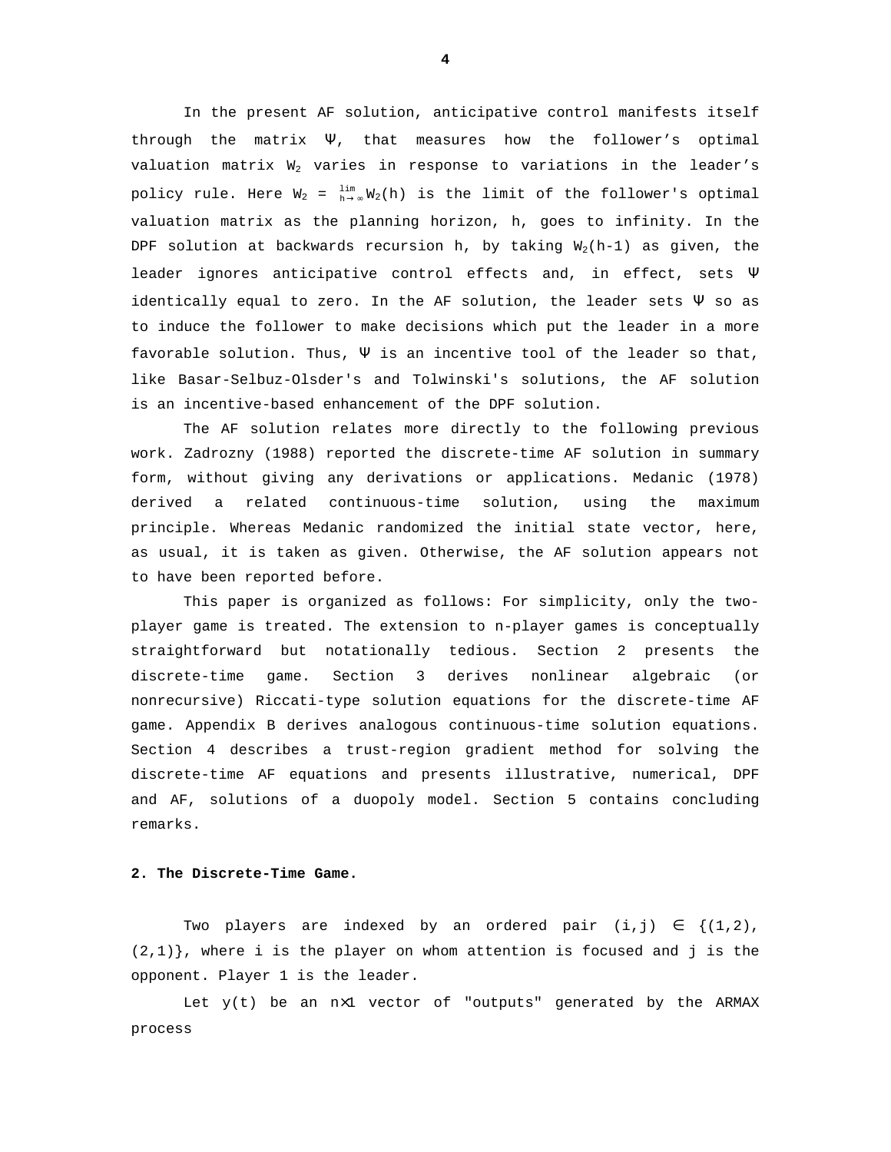In the present AF solution, anticipative control manifests itself through the matrix  $\Psi$ , that measures how the follower's optimal valuation matrix  $W_2$  varies in response to variations in the leader's policy rule. Here  $W_2$  =  $\lim_{h\to\infty}W_2(h)$  is the limit of the follower's optimal valuation matrix as the planning horizon, h, goes to infinity. In the DPF solution at backwards recursion h, by taking  $W_2(h-1)$  as given, the leader ignores anticipative control effects and, in effect, sets  $\Psi$ identically equal to zero. In the AF solution, the leader sets  $\Psi$  so as to induce the follower to make decisions which put the leader in a more favorable solution. Thus,  $\Psi$  is an incentive tool of the leader so that, like Basar-Selbuz-Olsder's and Tolwinski's solutions, the AF solution is an incentive-based enhancement of the DPF solution.

The AF solution relates more directly to the following previous work. Zadrozny (1988) reported the discrete-time AF solution in summary form, without giving any derivations or applications. Medanic (1978) derived a related continuous-time solution, using the maximum principle. Whereas Medanic randomized the initial state vector, here, as usual, it is taken as given. Otherwise, the AF solution appears not to have been reported before.

This paper is organized as follows: For simplicity, only the twoplayer game is treated. The extension to n-player games is conceptually straightforward but notationally tedious. Section 2 presents the discrete-time game. Section 3 derives nonlinear algebraic (or nonrecursive) Riccati-type solution equations for the discrete-time AF game. Appendix B derives analogous continuous-time solution equations. Section 4 describes a trust-region gradient method for solving the discrete-time AF equations and presents illustrative, numerical, DPF and AF, solutions of a duopoly model. Section 5 contains concluding remarks.

# **2. The Discrete-Time Game.**

Two players are indexed by an ordered pair  $(i,j) \in \{(1,2),\}$  $(2,1)$ , where i is the player on whom attention is focused and j is the opponent. Player 1 is the leader.

Let  $y(t)$  be an  $nx1$  vector of "outputs" generated by the ARMAX process

**4**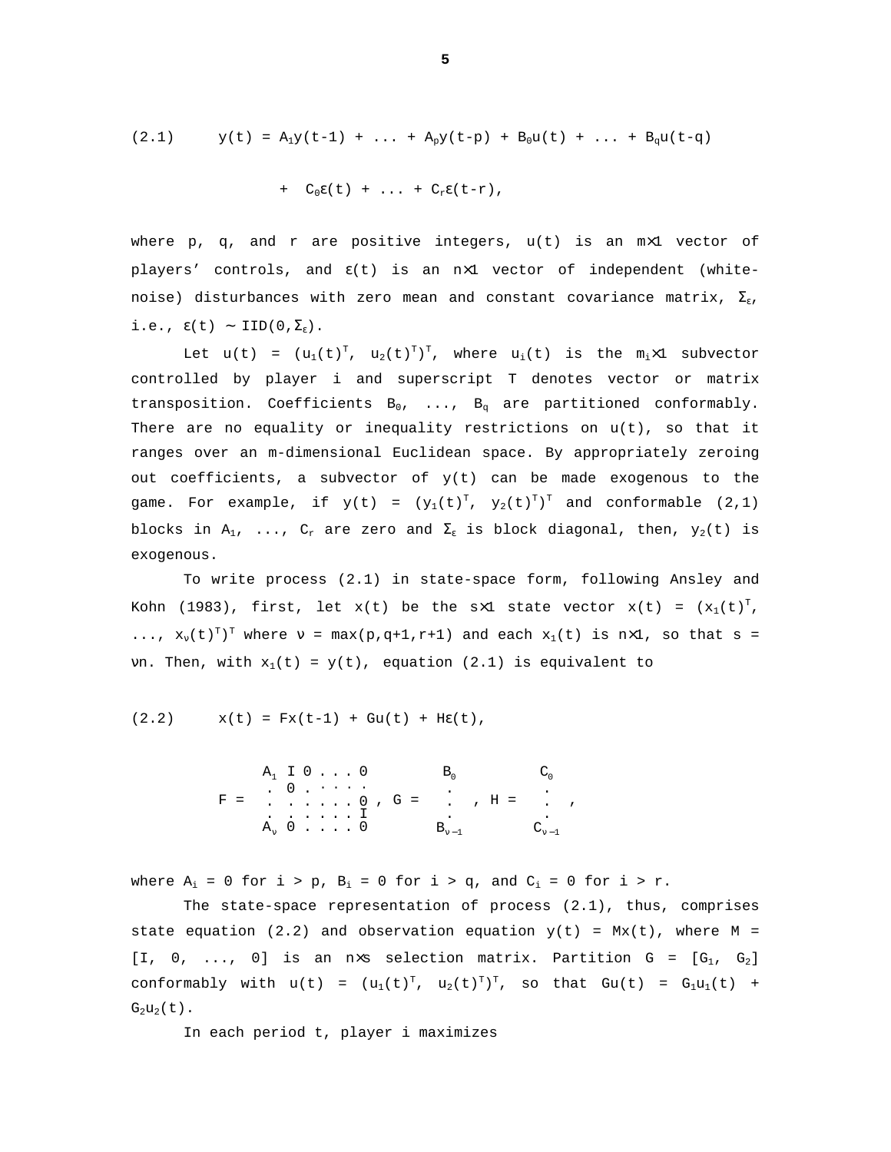$$
(2.1) \t y(t) = A_1y(t-1) + ... + A_py(t-p) + B_0u(t) + ... + B_qu(t-q)
$$

+ 
$$
C_0 \varepsilon(t) + \ldots + C_r \varepsilon(t-r)
$$
,

where p, q, and r are positive integers,  $u(t)$  is an  $m \times 1$  vector of players' controls, and  $\epsilon(t)$  is an n×1 vector of independent (whitenoise) disturbances with zero mean and constant covariance matrix,  $\Sigma_{\varepsilon}$ , i.e.,  $\epsilon(t)$  ∼ IID(0, $\Sigma_{\epsilon}$ ).

Let  $u(t) = (u_1(t)^T, u_2(t)^T)^T$ , where  $u_i(t)$  is the m<sub>i</sub>x1 subvector controlled by player i and superscript T denotes vector or matrix transposition. Coefficients  $B_0$ , ...,  $B_q$  are partitioned conformably. There are no equality or inequality restrictions on u(t), so that it ranges over an m-dimensional Euclidean space. By appropriately zeroing out coefficients, a subvector of  $y(t)$  can be made exogenous to the game. For example, if  $y(t) = (y_1(t)^T, y_2(t)^T)^T$  and conformable  $(2,1)$ blocks in  $A_1$ , ...,  $C_r$  are zero and  $\Sigma_\varepsilon$  is block diagonal, then,  $y_2(t)$  is exogenous.

To write process (2.1) in state-space form, following Ansley and Kohn (1983), first, let  $x(t)$  be the s×1 state vector  $x(t) = (x_1(t)^T,$ ...,  $x_v(t)^T$  where  $v = max(p,q+1,r+1)$  and each  $x_1(t)$  is  $nx1$ , so that  $s =$ vn. Then, with  $x_1(t) = y(t)$ , equation (2.1) is equivalent to

$$
(2.2)
$$
  $x(t) = Fx(t-1) + Gu(t) + HE(t),$ 

 $F =$  $\overline{\phantom{a}}$  $\overline{\phantom{a}}$  $\overline{\phantom{a}}$  $\overline{\phantom{a}}$ J  $\overline{\phantom{a}}$ l I I I L I ⋅ ⋅ ⋅ ⋅ <sup>A</sup><sup>ν</sup> <sup>0</sup> . . . . <sup>0</sup> . . . . . . <sup>I</sup> . . . . . . <sup>0</sup> . <sup>0</sup> .  $A_1$  I  $0$  . . . 0 , G =  $\overline{\phantom{a}}$  $\overline{\phantom{a}}$ I I J I l I I I L I ν −1 0 B . . . B , H =  $\overline{\phantom{a}}$  $\overline{\phantom{a}}$  $\overline{\phantom{a}}$  $\overline{\phantom{a}}$  $\overline{\phantom{a}}$  $\overline{\phantom{a}}$ L L L L L L ν −1 0 C . . . C ,

where  $A_i = 0$  for  $i > p$ ,  $B_i = 0$  for  $i > q$ , and  $C_i = 0$  for  $i > r$ .

The state-space representation of process  $(2.1)$ , thus, comprises state equation (2.2) and observation equation  $y(t) = Mx(t)$ , where M = [I, 0, ..., 0] is an n×s selection matrix. Partition  $G = [G_1, G_2]$ conformably with  $u(t) = (u_1(t)^T, u_2(t)^T)^T$ , so that  $Gu(t) = G_1u_1(t) +$  $G_2u_2(t)$ .

In each period t, player i maximizes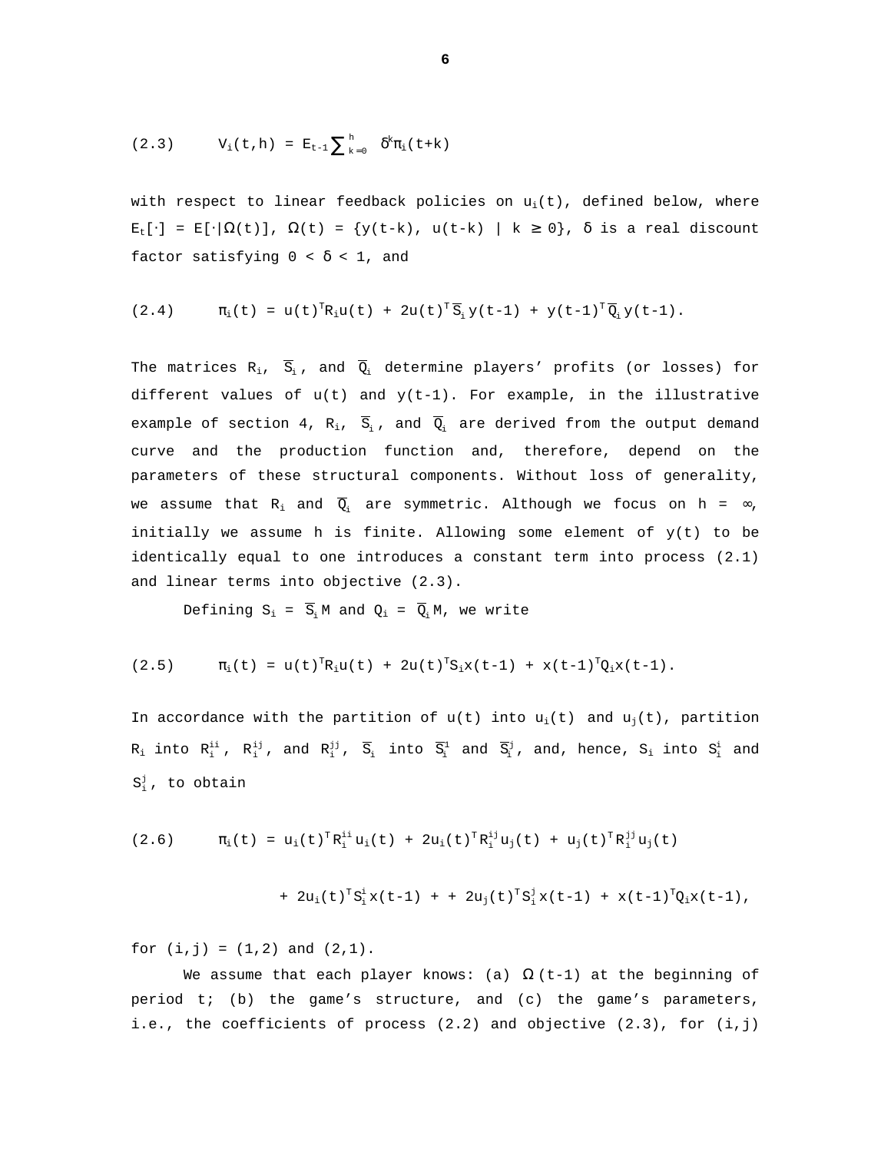(2.3) 
$$
V_i(t, h) = E_{t-1} \sum_{k=0}^{h} \delta^k \pi_i(t+k)
$$

with respect to linear feedback policies on  $u_i(t)$ , defined below, where  $E_t[\cdot] = E[\cdot|\Omega(t)], \Omega(t) = \{y(t-k), u(t-k) | k \ge 0\}, \delta$  is a real discount factor satisfying  $0 < \delta < 1$ , and

$$
(2.4) \t\t \pi_i(t) = u(t)^T R_i u(t) + 2u(t)^T \overline{S}_i y(t-1) + y(t-1)^T \overline{Q}_i y(t-1).
$$

The matrices  $R_i$ ,  $\overline{S}_i$ , and  $\overline{Q}_i$  determine players' profits (or losses) for different values of  $u(t)$  and  $y(t-1)$ . For example, in the illustrative example of section 4, R<sub>i</sub>,  $\overline{S}_i$ , and  $\overline{Q}_i$  are derived from the output demand curve and the production function and, therefore, depend on the parameters of these structural components. Without loss of generality, we assume that R<sub>i</sub> and  $\overline{Q}_i$  are symmetric. Although we focus on h = ∞, initially we assume h is finite. Allowing some element of  $y(t)$  to be identically equal to one introduces a constant term into process (2.1) and linear terms into objective (2.3).

Defining  $S_i = \overline{S}_i$  M and  $Q_i = \overline{Q}_i$  M, we write

$$
(2.5) \t\t \pi_i(t) = u(t)^T R_i u(t) + 2u(t)^T S_i x(t-1) + x(t-1)^T Q_i x(t-1).
$$

In accordance with the partition of  $u(t)$  into  $u_i(t)$  and  $u_i(t)$ , partition  $R_i$  into  $R_i^{ii}$ ,  $R_i^{ij}$ , and  $R_i^{jj}$ ,  $\overline{S}_i$  into  $\overline{S}_i^1$  and  $\overline{S}_i^j$ , and, hence,  $S_i$  into  $S_i^i$  and  $S_i^j$ , to obtain

$$
(2.6) \t\t \pi_i(t) = u_i(t)^{\mathrm{T}} R_i^{\mathrm{ii}} u_i(t) + 2u_i(t)^{\mathrm{T}} R_i^{\mathrm{ij}} u_j(t) + u_j(t)^{\mathrm{T}} R_i^{\mathrm{jj}} u_j(t)
$$

+ 
$$
2u_i(t)^T S_i^i x(t-1) + 2u_j(t)^T S_i^j x(t-1) + x(t-1)^T Q_i x(t-1)
$$
,

for  $(i, j) = (1, 2)$  and  $(2, 1)$ .

We assume that each player knows: (a)  $\Omega$  (t-1) at the beginning of period t; (b) the game's structure, and (c) the game's parameters, i.e., the coefficients of process  $(2.2)$  and objective  $(2.3)$ , for  $(i,j)$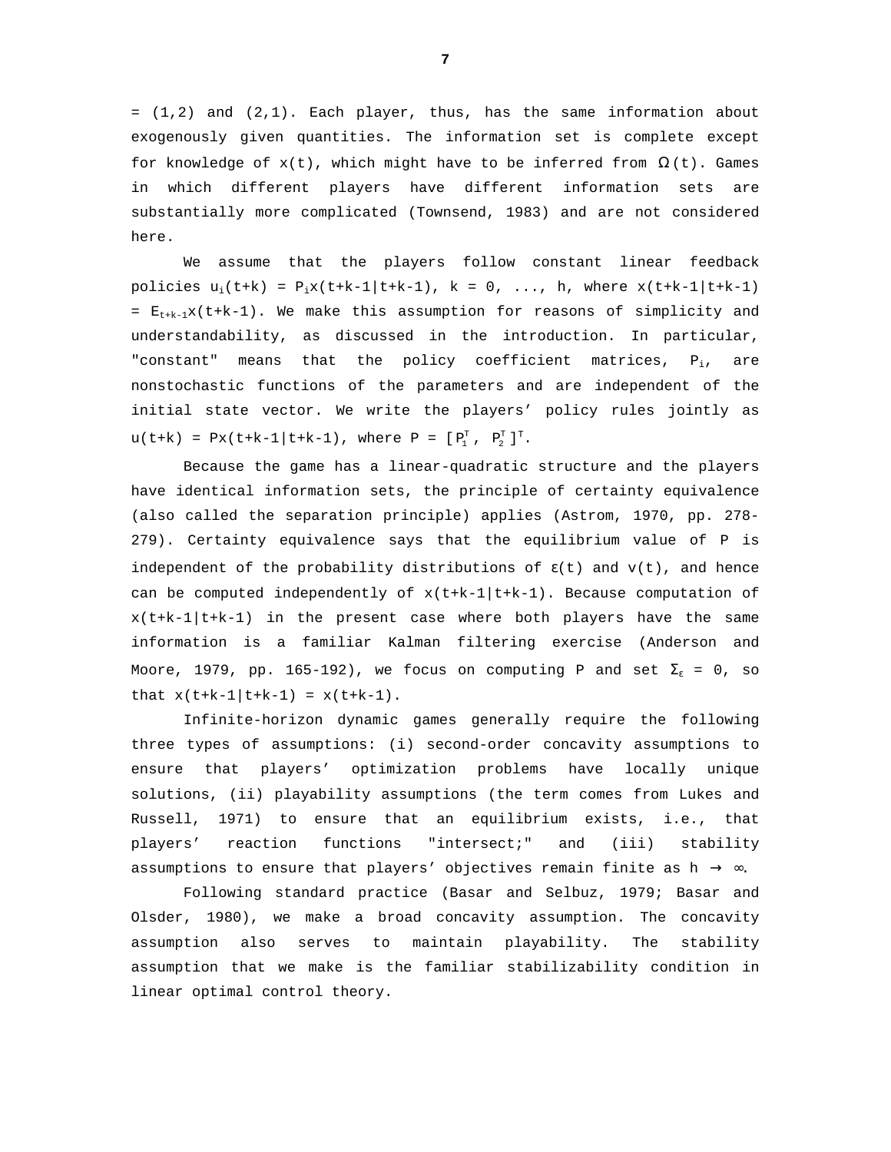= (1,2) and (2,1). Each player, thus, has the same information about exogenously given quantities. The information set is complete except for knowledge of  $x(t)$ , which might have to be inferred from  $\Omega(t)$ . Games in which different players have different information sets are substantially more complicated (Townsend, 1983) and are not considered here.

We assume that the players follow constant linear feedback policies  $u_i(t+k) = P_i x(t+k-1|t+k-1)$ ,  $k = 0, ..., h$ , where  $x(t+k-1|t+k-1)$ =  $E_{t+k-1}x(t+k-1)$ . We make this assumption for reasons of simplicity and understandability, as discussed in the introduction. In particular, "constant" means that the policy coefficient matrices,  $P_i$ , are nonstochastic functions of the parameters and are independent of the initial state vector. We write the players' policy rules jointly as  $u(t+k) = Px(t+k-1|t+k-1)$ , where  $P = [P_1^T, P_2^T]^T$ .

Because the game has a linear-quadratic structure and the players have identical information sets, the principle of certainty equivalence (also called the separation principle) applies (Astrom, 1970, pp. 278- 279). Certainty equivalence says that the equilibrium value of P is independent of the probability distributions of  $\epsilon(t)$  and  $v(t)$ , and hence can be computed independently of  $x(t+k-1|t+k-1)$ . Because computation of  $x(t+k-1|t+k-1)$  in the present case where both players have the same information is a familiar Kalman filtering exercise (Anderson and Moore, 1979, pp. 165-192), we focus on computing P and set  $\Sigma_{\varepsilon}$  = 0, so that  $x(t+k-1|t+k-1) = x(t+k-1)$ .

Infinite-horizon dynamic games generally require the following three types of assumptions: (i) second-order concavity assumptions to ensure that players' optimization problems have locally unique solutions, (ii) playability assumptions (the term comes from Lukes and Russell, 1971) to ensure that an equilibrium exists, i.e., that players' reaction functions "intersect;" and (iii) stability assumptions to ensure that players' objectives remain finite as h  $\rightarrow \infty$ .

Following standard practice (Basar and Selbuz, 1979; Basar and Olsder, 1980), we make a broad concavity assumption. The concavity assumption also serves to maintain playability. The stability assumption that we make is the familiar stabilizability condition in linear optimal control theory.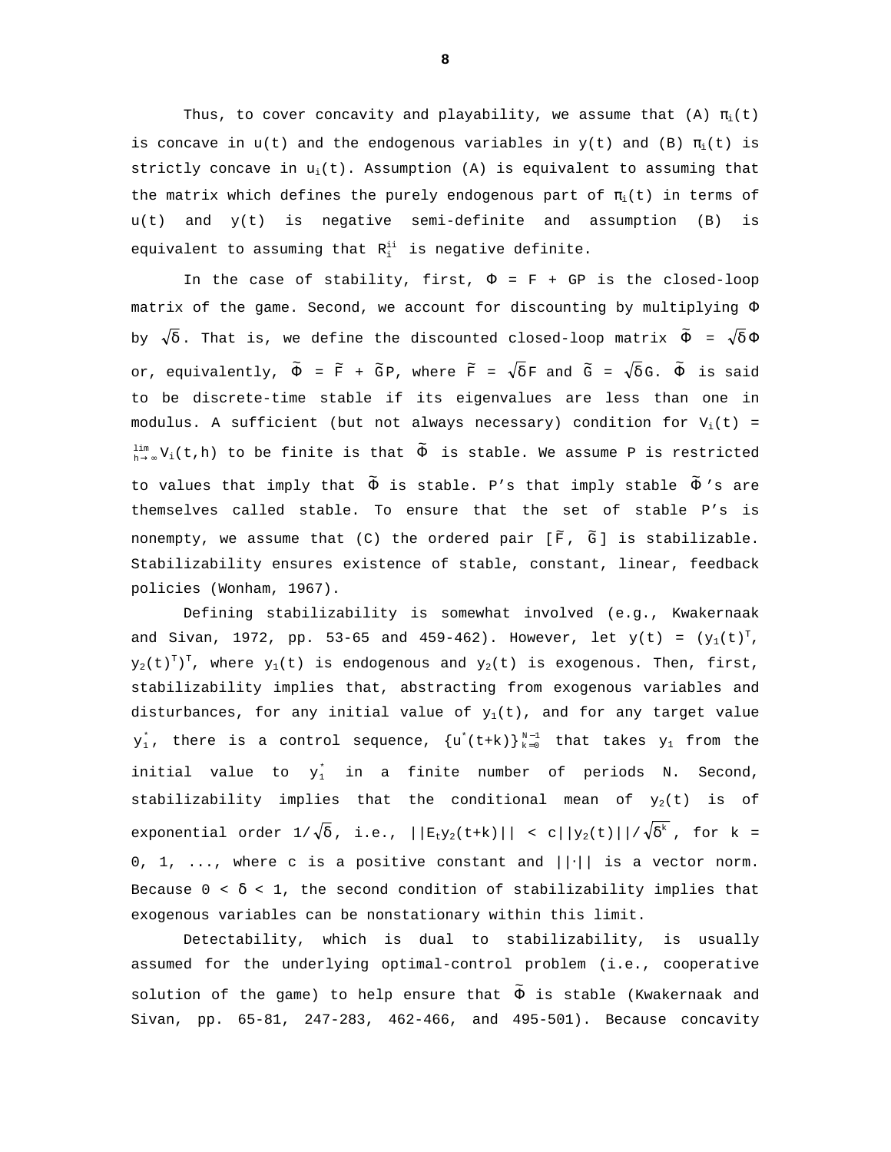Thus, to cover concavity and playability, we assume that (A)  $\pi_i(t)$ is concave in  $u(t)$  and the endogenous variables in  $y(t)$  and (B)  $\pi_i(t)$  is strictly concave in  $u_i(t)$ . Assumption (A) is equivalent to assuming that the matrix which defines the purely endogenous part of  $\pi_i(t)$  in terms of u(t) and y(t) is negative semi-definite and assumption (B) is equivalent to assuming that  $R_i^{ii}$  is negative definite.

In the case of stability, first,  $\Phi = F + GP$  is the closed-loop matrix of the game. Second, we account for discounting by multiplying Φ by  $\sqrt{\delta}$ . That is, we define the discounted closed-loop matrix  $\widetilde{\Phi}$  =  $\sqrt{\delta}\,\Phi$ or, equivalently,  $\tilde{\Phi}$  =  $\widetilde{\text{F}}$  +  $\widetilde{\text{G}}$  P, where  $\widetilde{\text{F}}$  =  $\sqrt{\delta}$  F and  $\widetilde{\text{G}}$  =  $\sqrt{\delta}$  G.  $\widetilde{\Phi}$  is said to be discrete-time stable if its eigenvalues are less than one in modulus. A sufficient (but not always necessary) condition for  $V_i(t)$  =  $\lim\limits_{h\to \infty}V_1(t\,,h)$  to be finite is that  $\widetilde{\Phi}$  is stable. We assume P is restricted to values that imply that  $\tilde{\Phi}$  is stable. P's that imply stable  $\tilde{\Phi}$  's are themselves called stable. To ensure that the set of stable P's is nonempty, we assume that (C) the ordered pair [ $\widetilde{\mathbf{F}}$ ,  $\widetilde{\mathbf{G}}$ ] is stabilizable. Stabilizability ensures existence of stable, constant, linear, feedback policies (Wonham, 1967).

Defining stabilizability is somewhat involved (e.g., Kwakernaak and Sivan, 1972, pp. 53-65 and 459-462). However, let  $y(t) = (y_1(t)^T,$  $y_2(t)^T$ )<sup>T</sup>, where  $y_1(t)$  is endogenous and  $y_2(t)$  is exogenous. Then, first, stabilizability implies that, abstracting from exogenous variables and disturbances, for any initial value of  $y_1(t)$ , and for any target value  $y_1^*$ , there is a control sequence,  $\{u^*(t+k)\}_{k=0}^{N-1}$  that takes  $y_1$  from the initial value to  $y_1^*$  in a finite number of periods N. Second, stabilizability implies that the conditional mean of  $y_2(t)$  is of exponential order  $1/\sqrt{\delta}$ , i.e.,  $||E_t y_2(t+k)||$  < c $||y_2(t)||/\sqrt{\delta^k}$ , for k = 0, 1, ..., where c is a positive constant and  $||\cdot||$  is a vector norm. Because  $0 < \delta < 1$ , the second condition of stabilizability implies that exogenous variables can be nonstationary within this limit.

Detectability, which is dual to stabilizability, is usually assumed for the underlying optimal-control problem (i.e., cooperative solution of the game) to help ensure that  $\tilde{\Phi}$  is stable (Kwakernaak and Sivan, pp. 65-81, 247-283, 462-466, and 495-501). Because concavity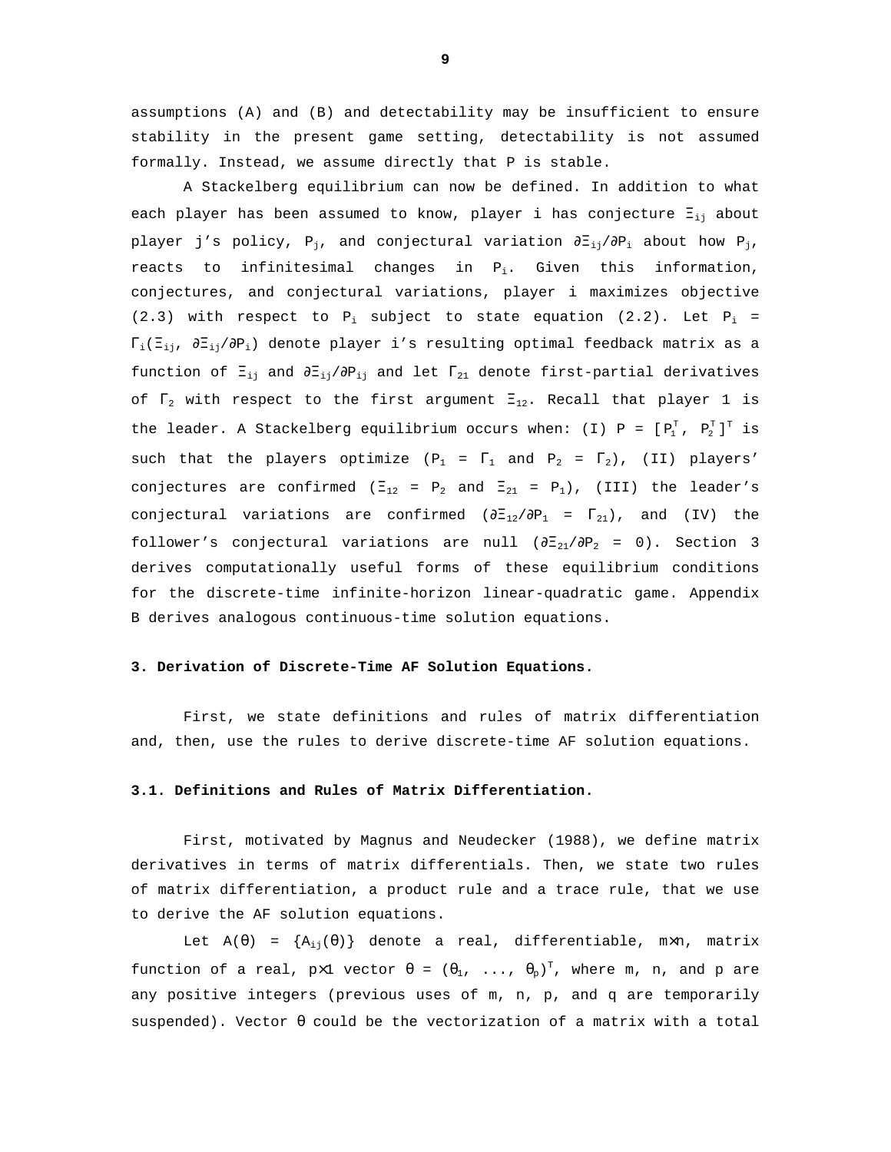assumptions (A) and (B) and detectability may be insufficient to ensure stability in the present game setting, detectability is not assumed formally. Instead, we assume directly that P is stable.

A Stackelberg equilibrium can now be defined. In addition to what each player has been assumed to know, player i has conjecture  $\Xi_{ij}$  about player j's policy, P<sub>i</sub>, and conjectural variation  $\partial \Xi_{i,j}/\partial P_i$  about how P<sub>i</sub>, reacts to infinitesimal changes in  $P_i$ . Given this information, conjectures, and conjectural variations, player i maximizes objective (2.3) with respect to  $P_i$  subject to state equation (2.2). Let  $P_i$  =  $\Gamma_i(\Xi_{i1}, \partial \Xi_{i1}/\partial P_i)$  denote player i's resulting optimal feedback matrix as a function of  $\Xi_{ij}$  and  $\partial \Xi_{ij}/\partial P_{ij}$  and let  $\Gamma_{21}$  denote first-partial derivatives of  $\Gamma_2$  with respect to the first argument  $\Xi_{12}$ . Recall that player 1 is the leader. A Stackelberg equilibrium occurs when: (I) P =  $[P_1^T, P_2^T]^T$  is such that the players optimize ( $P_1 = \Gamma_1$  and  $P_2 = \Gamma_2$ ), (II) players' conjectures are confirmed ( $\Xi_{12}$  =  $P_2$  and  $\Xi_{21}$  =  $P_1$ ), (III) the leader's conjectural variations are confirmed  $(\partial \Xi_{12}/\partial P_1 = \Gamma_{21})$ , and (IV) the follower's conjectural variations are null  $(\partial \Xi_{21}/\partial P_2 = 0)$ . Section 3 derives computationally useful forms of these equilibrium conditions for the discrete-time infinite-horizon linear-quadratic game. Appendix B derives analogous continuous-time solution equations.

# **3. Derivation of Discrete-Time AF Solution Equations.**

First, we state definitions and rules of matrix differentiation and, then, use the rules to derive discrete-time AF solution equations.

#### **3.1. Definitions and Rules of Matrix Differentiation.**

First, motivated by Magnus and Neudecker (1988), we define matrix derivatives in terms of matrix differentials. Then, we state two rules of matrix differentiation, a product rule and a trace rule, that we use to derive the AF solution equations.

Let  $A(\theta) = \{A_{i,j}(\theta)\}\$  denote a real, differentiable, m×n, matrix function of a real,  $p \times 1$  vector  $\theta = (\theta_1, \ldots, \theta_p)^T$ , where m, n, and  $p$  are any positive integers (previous uses of m, n, p, and q are temporarily suspended). Vector  $\theta$  could be the vectorization of a matrix with a total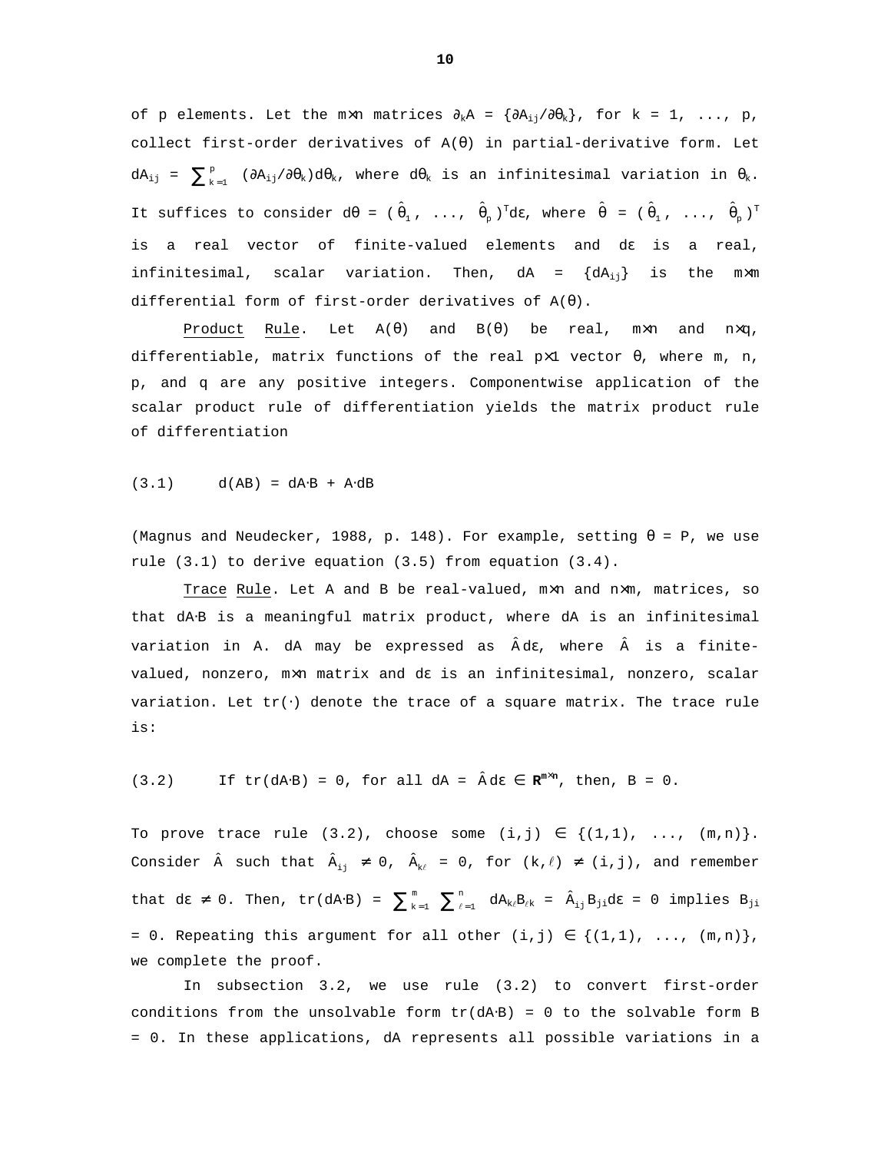of p elements. Let the m×n matrices  $\partial_k A = {\partial A_{i,j}}/{\partial \theta_k}$ , for  $k = 1, ..., p$ , collect first-order derivatives of  $A(\theta)$  in partial-derivative form. Let  $dA_{ij}$  =  $\sum_{k=1}^{p}$  ( $\partial A_{ij}/\partial \theta_k$ )d $\theta_k$ , where  $d\theta_k$  is an infinitesimal variation in  $\theta_k$ . It suffices to consider d $\theta$  = ( $\hat{\theta}_1$ , ...,  $\hat{\theta}_p$ )<sup>T</sup>dɛ, where  $\hat{\theta}$  = ( $\hat{\theta}_1$ , ...,  $\hat{\theta}_p$ )<sup>T</sup> is a real vector of finite-valued elements and dε is a real, infinitesimal, scalar variation. Then,  $dA = \{dA_{i,j}\}\$ is the m $\times$ m differential form of first-order derivatives of  $A(\theta)$ .

Product Rule. Let  $A(\theta)$  and  $B(\theta)$  be real, m×n and n×q, differentiable, matrix functions of the real  $px1$  vector  $\theta$ , where m, n, p, and q are any positive integers. Componentwise application of the scalar product rule of differentiation yields the matrix product rule of differentiation

 $(3.1)$  d(AB) = dA⋅B + A⋅dB

(Magnus and Neudecker, 1988, p. 148). For example, setting  $\theta = P$ , we use rule (3.1) to derive equation (3.5) from equation (3.4).

Trace Rule. Let A and B be real-valued, m×n and n×m, matrices, so that dA⋅B is a meaningful matrix product, where dA is an infinitesimal variation in A. dA may be expressed as Âdε, where is a finitevalued, nonzero, m×n matrix and dε is an infinitesimal, nonzero, scalar variation. Let tr(⋅) denote the trace of a square matrix. The trace rule is:

(3.2) If  $tr(dA \cdot B) = 0$ , for all  $dA = \hat{A} d\varepsilon \in \mathbb{R}^{m \times n}$ , then,  $B = 0$ .

To prove trace rule  $(3.2)$ , choose some  $(i,j) \in \{(1,1), \ldots, (m,n)\}.$ Consider  $\hat{A}$  such that  $\hat{A}_{i,j} \neq 0$ ,  $\hat{A}_{k\ell} = 0$ , for  $(k, \ell) \neq (i, j)$ , and remember that d $\epsilon \neq 0$ . Then, tr(dA⋅B) =  $\sum_{k=1}^{m} \sum_{\ell=1}^{n}$ 1  $\sum_{k=1}^{m}$   $\sum_{\ell=1}^{n}$   $dA_{k\ell}B_{\ell k}$  =  $\hat{A}_{i j}B_{j i}d\epsilon$  = 0 implies  $B_{j i}$ = 0. Repeating this argument for all other  $(i,j) \in \{(1,1), \ldots, (m,n)\}\,$ we complete the proof.

In subsection 3.2, we use rule (3.2) to convert first-order conditions from the unsolvable form  $tr(dA·B) = 0$  to the solvable form B = 0. In these applications, dA represents all possible variations in a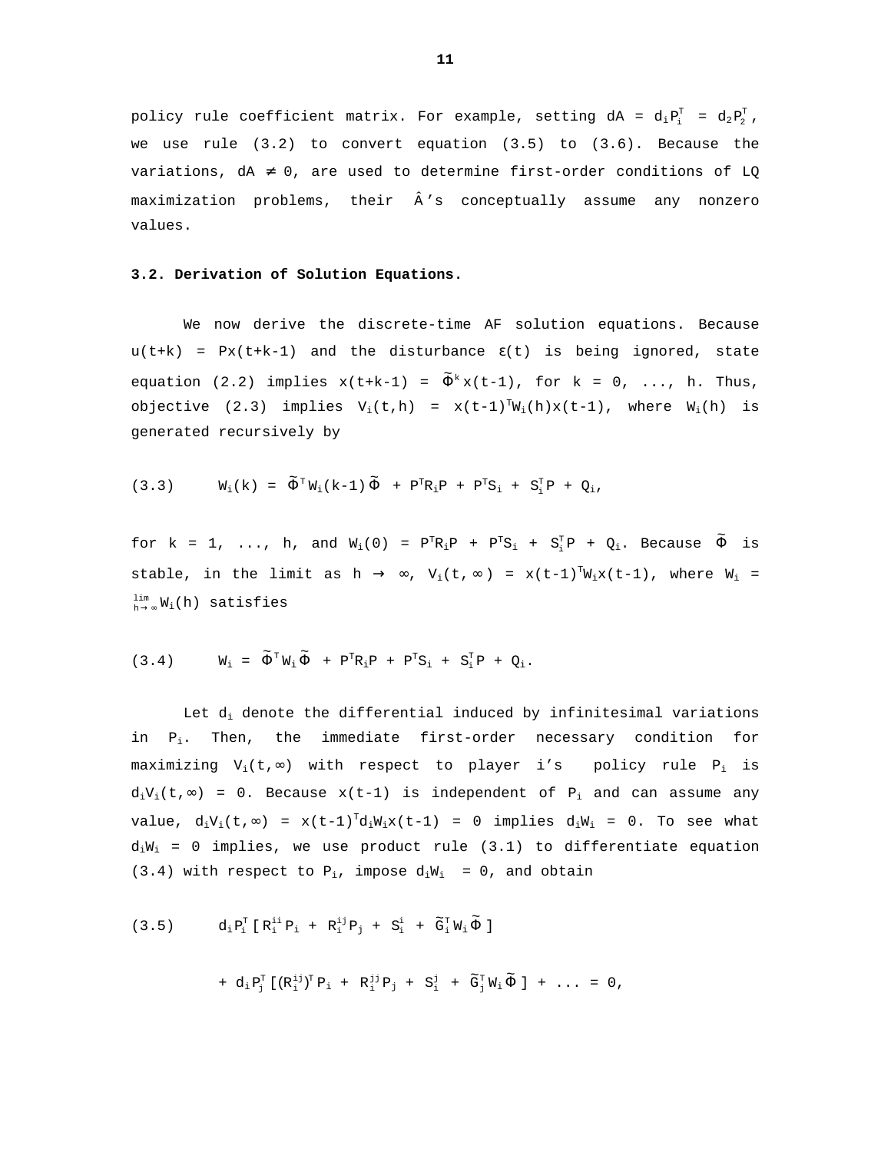policy rule coefficient matrix. For example, setting  $dA = d_i P_i^T = d_2 P_2^T$ , we use rule  $(3.2)$  to convert equation  $(3.5)$  to  $(3.6)$ . Because the variations,  $dA \neq 0$ , are used to determine first-order conditions of LQ maximization problems, their  $\hat{A}$ 's conceptually assume any nonzero values.

# **3.2. Derivation of Solution Equations.**

We now derive the discrete-time AF solution equations. Because  $u(t+k) = Px(t+k-1)$  and the disturbance  $\epsilon(t)$  is being ignored, state equation (2.2) implies  $x(t+k-1) = \tilde{\Phi}^k x(t-1)$ , for  $k = 0, ..., h$ . Thus, objective (2.3) implies  $V_i(t,h) = x(t-1)^T W_i(h)x(t-1)$ , where  $W_i(h)$  is generated recursively by

$$
(3.3) \tW_i(k) = \tilde{\Phi}^{\mathrm{T}} W_i(k-1) \tilde{\Phi} + P^{\mathrm{T}} R_i P + P^{\mathrm{T}} S_i + S_i^{\mathrm{T}} P + Q_i,
$$

for k = 1, ..., h, and  $W_i(0)$  =  $P^TR_iP + P^TS_i + S_i^TP + Q_i$ . Because  $\widetilde{\Phi}$  is stable, in the limit as h  $\rightarrow \infty$ , V<sub>i</sub>(t,  $\infty$ ) = x(t-1)<sup>T</sup>W<sub>i</sub>x(t-1), where W<sub>i</sub> =  $lim_{h\to\infty} W_i(h)$  satisfies

$$
(3.4) \qquad \ \ W_i \ = \ \widetilde{\Phi}^{\scriptscriptstyle{\text{T}}} W_i \, \widetilde{\Phi} \ + \ P^{\scriptscriptstyle{\text{T}}} R_i P \ + \ P^{\scriptscriptstyle{\text{T}}} S_i \ + \ S_i^{\scriptscriptstyle{\text{T}}} P \ + \ Q_i \, .
$$

Let  $d_i$  denote the differential induced by infinitesimal variations in  $P_i$ . Then, the immediate first-order necessary condition for maximizing  $V_i(t, \infty)$  with respect to player i's policy rule  $P_i$  is  $d_iV_i(t,∞) = 0$ . Because x(t-1) is independent of P<sub>i</sub> and can assume any value,  $d_iV_i(t,\infty)$  =  $x(t-1)^Td_iW_ix(t-1)$  = 0 implies  $d_iW_i$  = 0. To see what  $d_iW_i = 0$  implies, we use product rule (3.1) to differentiate equation (3.4) with respect to  $P_i$ , impose  $d_iW_i = 0$ , and obtain

(3.5) 
$$
d_i P_i^T [R_i^{ii} P_i + R_i^{ij} P_j + S_i^i + \tilde{G}_i^T W_i \tilde{\Phi}]
$$

$$
+ d_i P_j^T [(R_i^{ij})^T P_i + R_i^{jj} P_j + S_i^j + \tilde{G}_j^T W_i \tilde{\Phi}] + ... = 0,
$$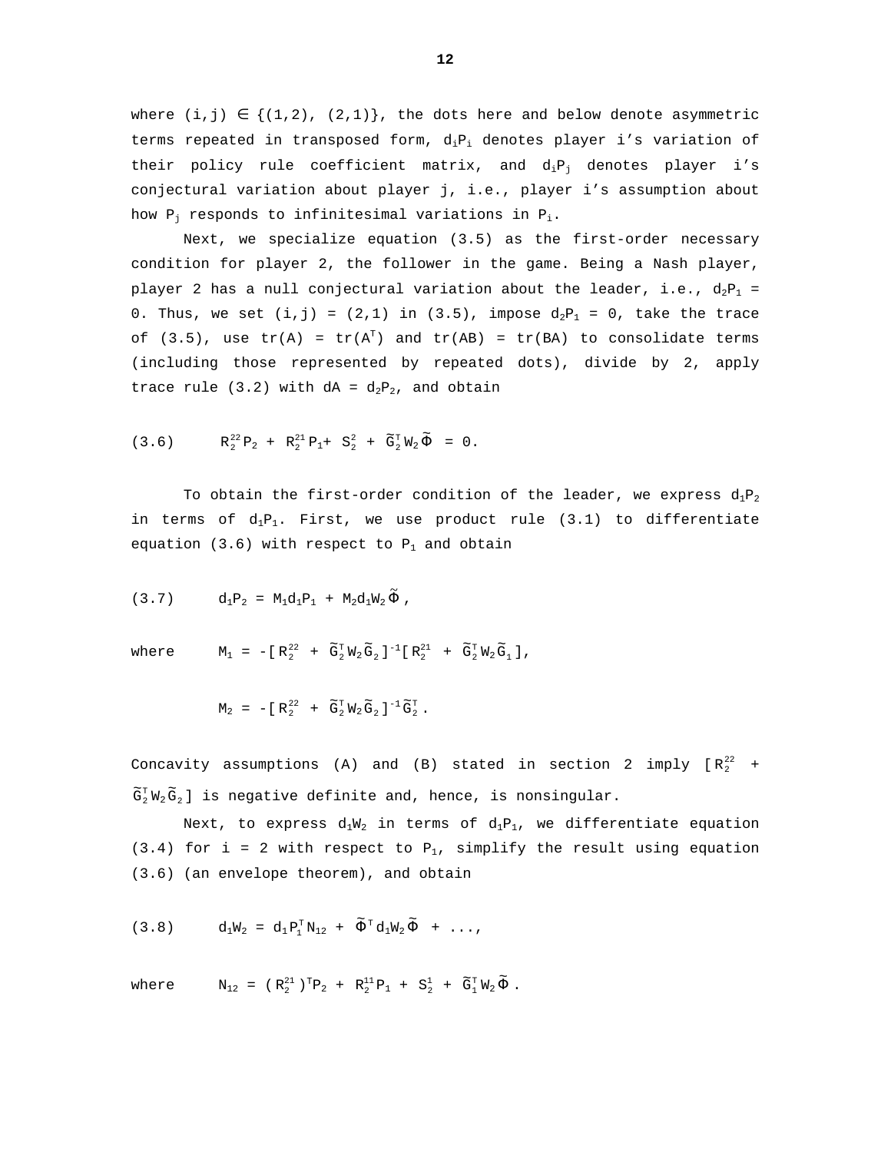where  $(i, j) \in \{(1, 2), (2, 1)\}\$ , the dots here and below denote asymmetric terms repeated in transposed form,  $d_iP_i$  denotes player i's variation of their policy rule coefficient matrix, and  $d_iP_i$  denotes player i's conjectural variation about player j, i.e., player i's assumption about how  $P_j$  responds to infinitesimal variations in  $P_i$ .

Next, we specialize equation (3.5) as the first-order necessary condition for player 2, the follower in the game. Being a Nash player, player 2 has a null conjectural variation about the leader, i.e.,  $d_2P_1$  = 0. Thus, we set  $(i, j) = (2, 1)$  in  $(3.5)$ , impose  $d_2P_1 = 0$ , take the trace of (3.5), use  $tr(A) = tr(A<sup>T</sup>)$  and  $tr(AB) = tr(BA)$  to consolidate terms (including those represented by repeated dots), divide by 2, apply trace rule (3.2) with  $dA = d_2P_2$ , and obtain

$$
(3.6) \tR_2^{22}P_2 + R_2^{21}P_1 + S_2^2 + \tilde{G}_2^T W_2 \tilde{\Phi} = 0.
$$

To obtain the first-order condition of the leader, we express  $d_1P_2$ in terms of  $d_1P_1$ . First, we use product rule (3.1) to differentiate equation (3.6) with respect to  $P_1$  and obtain

$$
(3.7) \t d_1P_2 = M_1d_1P_1 + M_2d_1W_2 \tilde{\Phi} ,
$$

where  $M_1 = -[R_2^{22} + \tilde{G}_2^T W_2 \tilde{G}_2]^{-1} [R_2^{21} + \tilde{G}_2^T W_2 \tilde{G}_1],$ 

$$
\mathsf{M}_2\ =\ -[\ \mathsf{R}_2^{\, 22}\ \ +\ \ \widetilde{\mathsf{G}}_2^{\,\mathrm{T}}\, \mathsf{W}_2\, \widetilde{\mathsf{G}}_2\ ]^{-1}\, \widetilde{\mathsf{G}}_2^{\,\mathrm{T}}\ .
$$

Concavity assumptions (A) and (B) stated in section 2 imply  $\lceil R_2^{22} \rceil + 1$  $\widetilde{\mathsf{G}}_{\mathsf{2}}^{\mathtt{T}}\, \mathtt{W}_{\mathsf{2}}\, \widetilde{\mathsf{G}}_{\mathsf{2}}$  ] is negative definite and, hence, is nonsingular.

Next, to express  $d_1W_2$  in terms of  $d_1P_1$ , we differentiate equation (3.4) for i = 2 with respect to  $P_1$ , simplify the result using equation (3.6) (an envelope theorem), and obtain

$$
(3.8) \t d_1W_2 = d_1P_1^T N_{12} + \tilde{\Phi}^T d_1W_2 \tilde{\Phi} + \ldots,
$$

where  $N_{12} = (R_2^{21})^T P_2 + R_2^{11} P_1 + S_2^1 + \tilde{G}_1^T W_2 \tilde{\Phi}$ .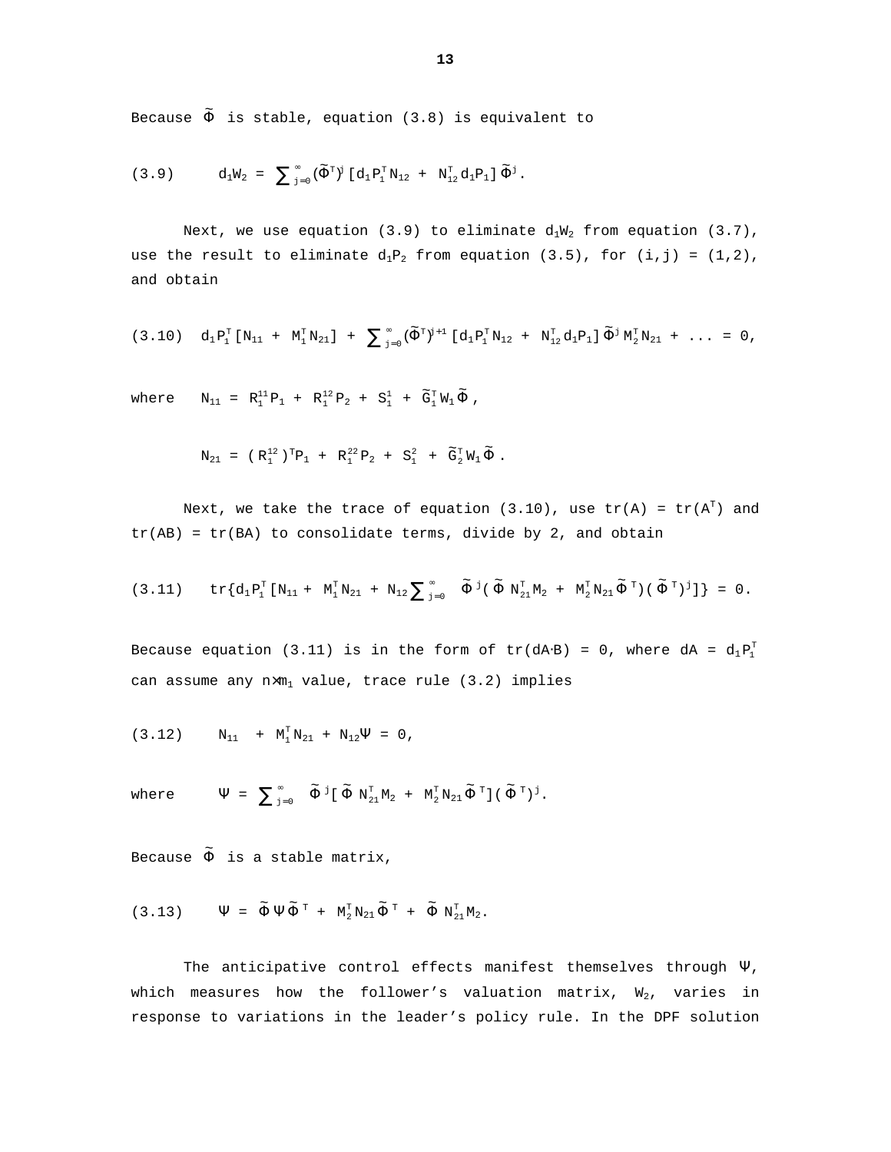Because  $\tilde{\Phi}$  is stable, equation (3.8) is equivalent to

$$
(3.9) \qquad \quad d_1W_2\ =\ \sum\nolimits_{j=0}^\infty\, (\widetilde{\Phi}^{\scriptscriptstyle{\text{T}}})^j\, [\,d_1\,P_1^{\scriptscriptstyle{\text{T}}} \,N_{12}\ +\ N_{12}^{\scriptscriptstyle{\text{T}}} \,d_1P_1\,]\, \widetilde{\Phi}^j\,.
$$

Next, we use equation (3.9) to eliminate  $d_1W_2$  from equation (3.7), use the result to eliminate  $d_1P_2$  from equation (3.5), for (i,j) = (1,2), and obtain

$$
(3.10)\quad d_1\,P_1^T\left[\,N_{11}\ +\ N_1^T\,N_{21}\,\right]\ +\ \sum\nolimits_{j=0}^\infty\,(\widetilde{\Phi}^T)^{j+1}\,\left[\,d_1\,P_1^T\,N_{12}\ +\ N_{12}^T\,d_1P_1\,\right]\widetilde{\Phi}^{\,j}\,N_2^T\,N_{21}\ +\ \ldots\ =\ 0\ ,
$$

where  $N_{11} = R_1^{11} P_1 + R_1^{12} P_2 + S_1^1 + \tilde{G}_1^T W_1 \tilde{\Phi}$ ,

$$
N_{21} = (R_1^{12})^T P_1 + R_1^{22} P_2 + S_1^2 + \tilde{G}_2^T W_1 \tilde{\Phi}.
$$

Next, we take the trace of equation (3.10), use  $\text{tr(A)}$  =  $\text{tr(A}^{\text{T}})$  and  $tr(AB) = tr(BA)$  to consolidate terms, divide by 2, and obtain

$$
(3.11) \qquad \text{tr}\big\{d_1\,P_1^T\,[\,N_{11}\,+\,\,N_1^T\,N_{21}\,\,+\,\,N_{12}\sum\nolimits_{j=0}^\infty\,\, \widetilde{\Phi}^{\,\,j}\,(\,\widetilde{\Phi}\,\,N_{21}^T\,M_2\,\,+\,\,\,N_2^T\,N_{21}\,\widetilde{\Phi}^{\,\,T}\,)\,(\,\widetilde{\Phi}^{\,\,T}\,)^{\,\,j}\,]\,\big\}\ =\ 0\,.
$$

Because equation (3.11) is in the form of tr(dA⋅B) = 0, where dA =  $d_1P_1^T$ can assume any  $n \times m_1$  value, trace rule (3.2) implies

$$
(3.12) \t\t\t N_{11} + M_1^T N_{21} + N_{12} \Psi = 0,
$$

where  $\Psi = \sum_{j=0}^{\infty} \tilde{\Phi}^{j} [\tilde{\Phi} N_{21}^{T} M_{2} + M_{2}^{T} N_{21} \tilde{\Phi}^{T}] (\tilde{\Phi}^{T})^{j}.$ 

Because  $\tilde{\Phi}$  is a stable matrix,

$$
(3.13) \qquad \Psi \ = \ \tilde{\Phi} \, \Psi \, \tilde{\Phi}^{\text{\tiny\it{T}}} \ + \ \text{\tiny\it{M}_{2}^{\text{\tiny\it{T}}} \, \text{\tiny\it{N}_{21}}}\, \tilde{\Phi}^{\text{\tiny\it{T}}} \ + \ \tilde{\Phi} \ \text{\tiny\it{N}_{21}^{\text{\tiny\it{T}}} \, \text{\tiny\it{M}_{2}}} \, .
$$

The anticipative control effects manifest themselves through  $\Psi$ , which measures how the follower's valuation matrix,  $W_2$ , varies in response to variations in the leader's policy rule. In the DPF solution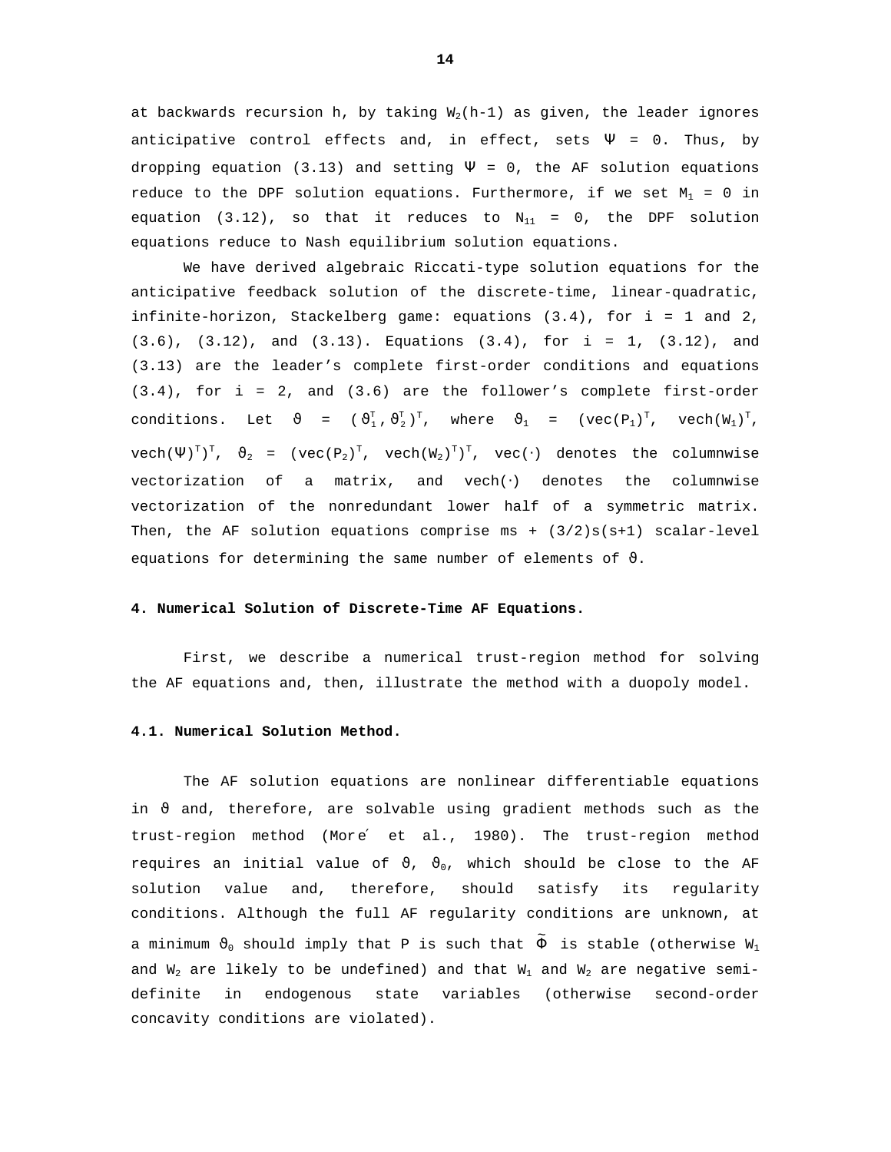at backwards recursion h, by taking  $W_2(h-1)$  as given, the leader ignores anticipative control effects and, in effect, sets  $\Psi = 0$ . Thus, by dropping equation (3.13) and setting  $\Psi = 0$ , the AF solution equations reduce to the DPF solution equations. Furthermore, if we set  $M_1 = 0$  in equation (3.12), so that it reduces to  $N_{11} = 0$ , the DPF solution equations reduce to Nash equilibrium solution equations.

We have derived algebraic Riccati-type solution equations for the anticipative feedback solution of the discrete-time, linear-quadratic, infinite-horizon, Stackelberg game: equations (3.4), for i = 1 and 2, (3.6), (3.12), and (3.13). Equations (3.4), for i = 1, (3.12), and (3.13) are the leader's complete first-order conditions and equations (3.4), for i = 2, and (3.6) are the follower's complete first-order conditions. Let  $\vartheta = (\vartheta_1^T, \vartheta_2^T)^T$ , where  $\vartheta_1 = (\text{vec}(P_1)^T, \text{vec}(W_1)^T)$ ,  $\text{vech}(\Psi)^{\text{\tiny T}})^\text{\tiny T}$ ,  $\vartheta_2$  = ( $\text{vec}(\mathsf{P}_2)^\text{\tiny T}$ ,  $\text{vech}(\mathsf{W}_2)^\text{\tiny T})^\text{\tiny T}$ ,  $\text{vec}(\cdot)$  denotes the columnwise vectorization of a matrix, and vech(⋅) denotes the columnwise vectorization of the nonredundant lower half of a symmetric matrix. Then, the AF solution equations comprise ms +  $(3/2)s(s+1)$  scalar-level equations for determining the same number of elements of  $\vartheta$ .

# **4. Numerical Solution of Discrete-Time AF Equations.**

First, we describe a numerical trust-region method for solving the AF equations and, then, illustrate the method with a duopoly model.

#### **4.1. Numerical Solution Method.**

The AF solution equations are nonlinear differentiable equations in  $\vartheta$  and, therefore, are solvable using gradient methods such as the trust-region method (More′ et al., 1980). The trust-region method requires an initial value of  $\vartheta$ ,  $\vartheta_0$ , which should be close to the AF solution value and, therefore, should satisfy its regularity conditions. Although the full AF regularity conditions are unknown, at a minimum  $\vartheta_0$  should imply that P is such that  $\tilde{\Phi}$  is stable (otherwise  $\mathtt{W}_1$ and  $W_2$  are likely to be undefined) and that  $W_1$  and  $W_2$  are negative semidefinite in endogenous state variables (otherwise second-order concavity conditions are violated).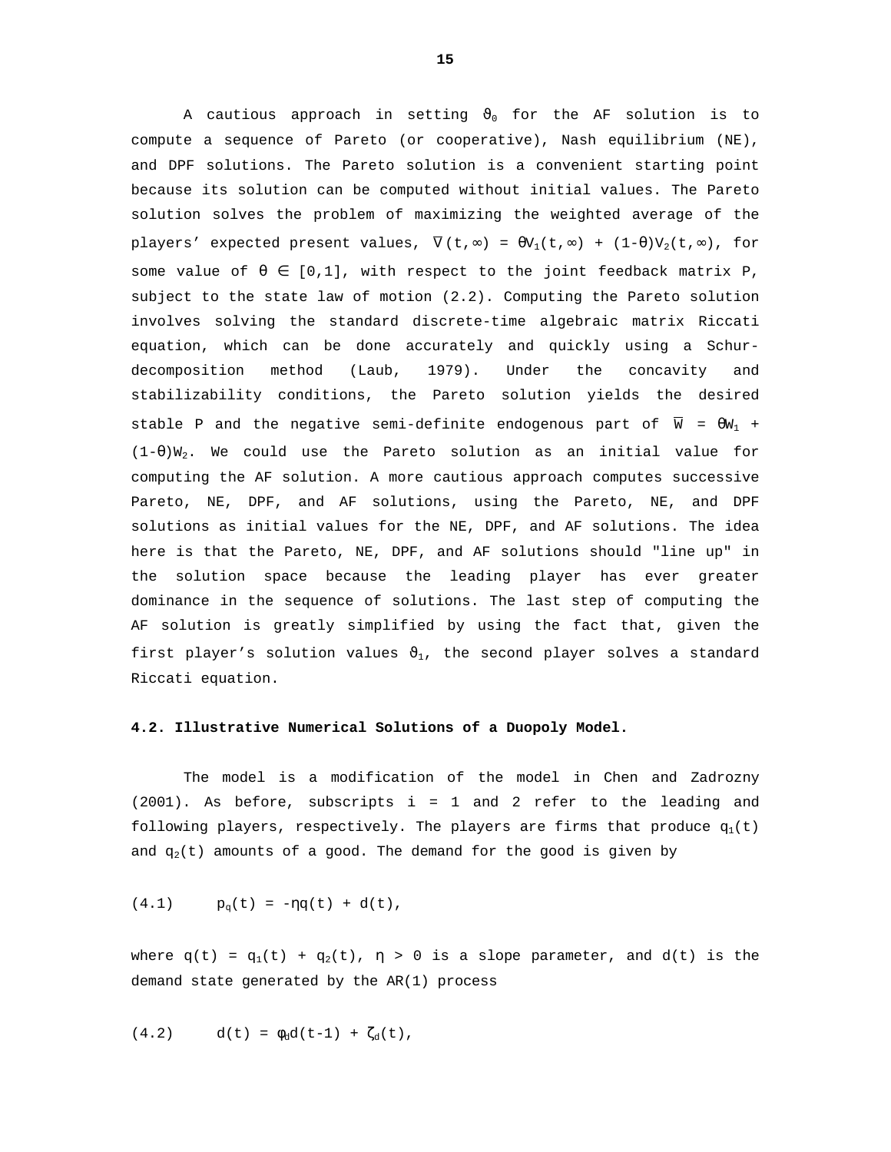A cautious approach in setting  $\vartheta_0$  for the AF solution is to compute a sequence of Pareto (or cooperative), Nash equilibrium (NE), and DPF solutions. The Pareto solution is a convenient starting point because its solution can be computed without initial values. The Pareto solution solves the problem of maximizing the weighted average of the players' expected present values,  $\overline{V}(t, \infty) = \theta V_1(t, \infty) + (1-\theta)V_2(t, \infty)$ , for some value of  $\theta \in [0,1]$ , with respect to the joint feedback matrix P, subject to the state law of motion (2.2). Computing the Pareto solution involves solving the standard discrete-time algebraic matrix Riccati equation, which can be done accurately and quickly using a Schurdecomposition method (Laub, 1979). Under the concavity and stabilizability conditions, the Pareto solution yields the desired stable P and the negative semi-definite endogenous part of  $\overline{W} = \theta W_1 +$  $(1-\theta)W_2$ . We could use the Pareto solution as an initial value for computing the AF solution. A more cautious approach computes successive Pareto, NE, DPF, and AF solutions, using the Pareto, NE, and DPF solutions as initial values for the NE, DPF, and AF solutions. The idea here is that the Pareto, NE, DPF, and AF solutions should "line up" in the solution space because the leading player has ever greater dominance in the sequence of solutions. The last step of computing the AF solution is greatly simplified by using the fact that, given the first player's solution values  $\vartheta_1$ , the second player solves a standard Riccati equation.

### **4.2. Illustrative Numerical Solutions of a Duopoly Model.**

The model is a modification of the model in Chen and Zadrozny (2001). As before, subscripts i = 1 and 2 refer to the leading and following players, respectively. The players are firms that produce  $q_1(t)$ and  $q_2(t)$  amounts of a good. The demand for the good is given by

(4.1) 
$$
p_q(t) = -\eta q(t) + d(t)
$$
,

where  $q(t) = q_1(t) + q_2(t)$ ,  $\eta > 0$  is a slope parameter, and  $d(t)$  is the demand state generated by the AR(1) process

(4.2) 
$$
d(t) = \phi_d d(t-1) + \zeta_d(t)
$$
,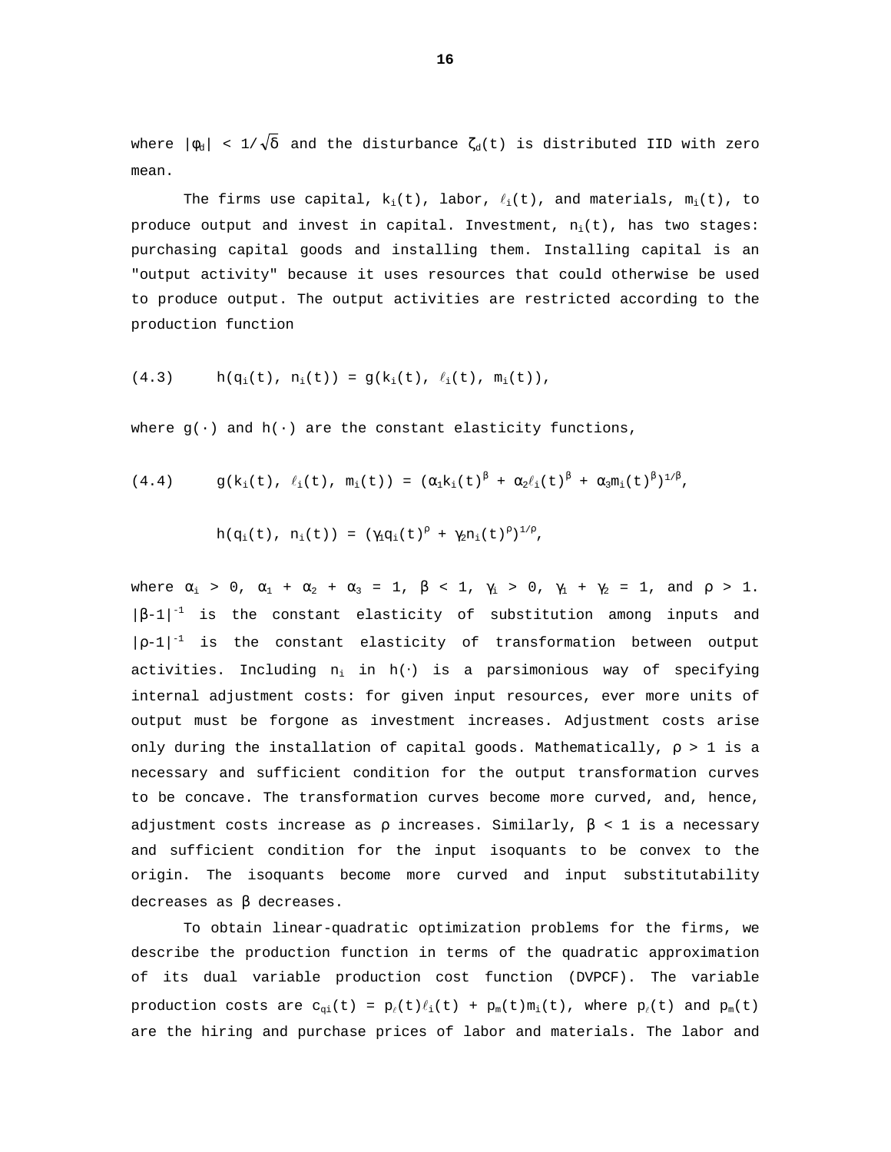where  $|\phi_d|$  < 1/ $\sqrt{\delta}$  and the disturbance  $\zeta_d(t)$  is distributed IID with zero mean.

The firms use capital,  $k_i(t)$ , labor,  $\ell_i(t)$ , and materials,  $m_i(t)$ , to produce output and invest in capital. Investment,  $n_i(t)$ , has two stages: purchasing capital goods and installing them. Installing capital is an "output activity" because it uses resources that could otherwise be used to produce output. The output activities are restricted according to the production function

$$
(4.3) \t h(q_i(t), n_i(t)) = g(k_i(t), \ell_i(t), m_i(t)),
$$

where  $g(\cdot)$  and  $h(\cdot)$  are the constant elasticity functions,

$$
(4.4) \t g(k_i(t), \ell_i(t), m_i(t)) = (\alpha_1 k_i(t)^{\beta} + \alpha_2 \ell_i(t)^{\beta} + \alpha_3 m_i(t)^{\beta})^{1/\beta},
$$

$$
h(q_i(t), n_i(t)) = (\gamma_i q_i(t)^{\rho} + \gamma_2 n_i(t)^{\rho})^{1/\rho},
$$

where  $\alpha_1 > 0$ ,  $\alpha_1 + \alpha_2 + \alpha_3 = 1$ ,  $\beta < 1$ ,  $\gamma_1 > 0$ ,  $\gamma_1 + \gamma_2 = 1$ , and  $\rho > 1$ .  $|\beta-1|^{-1}$  is the constant elasticity of substitution among inputs and  $|p-1|^{-1}$  is the constant elasticity of transformation between output activities. Including  $n_i$  in  $h(\cdot)$  is a parsimonious way of specifying internal adjustment costs: for given input resources, ever more units of output must be forgone as investment increases. Adjustment costs arise only during the installation of capital goods. Mathematically,  $\rho > 1$  is a necessary and sufficient condition for the output transformation curves to be concave. The transformation curves become more curved, and, hence, adjustment costs increase as  $\rho$  increases. Similarly,  $\beta$  < 1 is a necessary and sufficient condition for the input isoquants to be convex to the origin. The isoquants become more curved and input substitutability decreases as β decreases.

To obtain linear-quadratic optimization problems for the firms, we describe the production function in terms of the quadratic approximation of its dual variable production cost function (DVPCF). The variable production costs are  $c_{qi}(t) = p_{\ell}(t) \ell_i(t) + p_m(t) m_i(t)$ , where  $p_{\ell}(t)$  and  $p_m(t)$ are the hiring and purchase prices of labor and materials. The labor and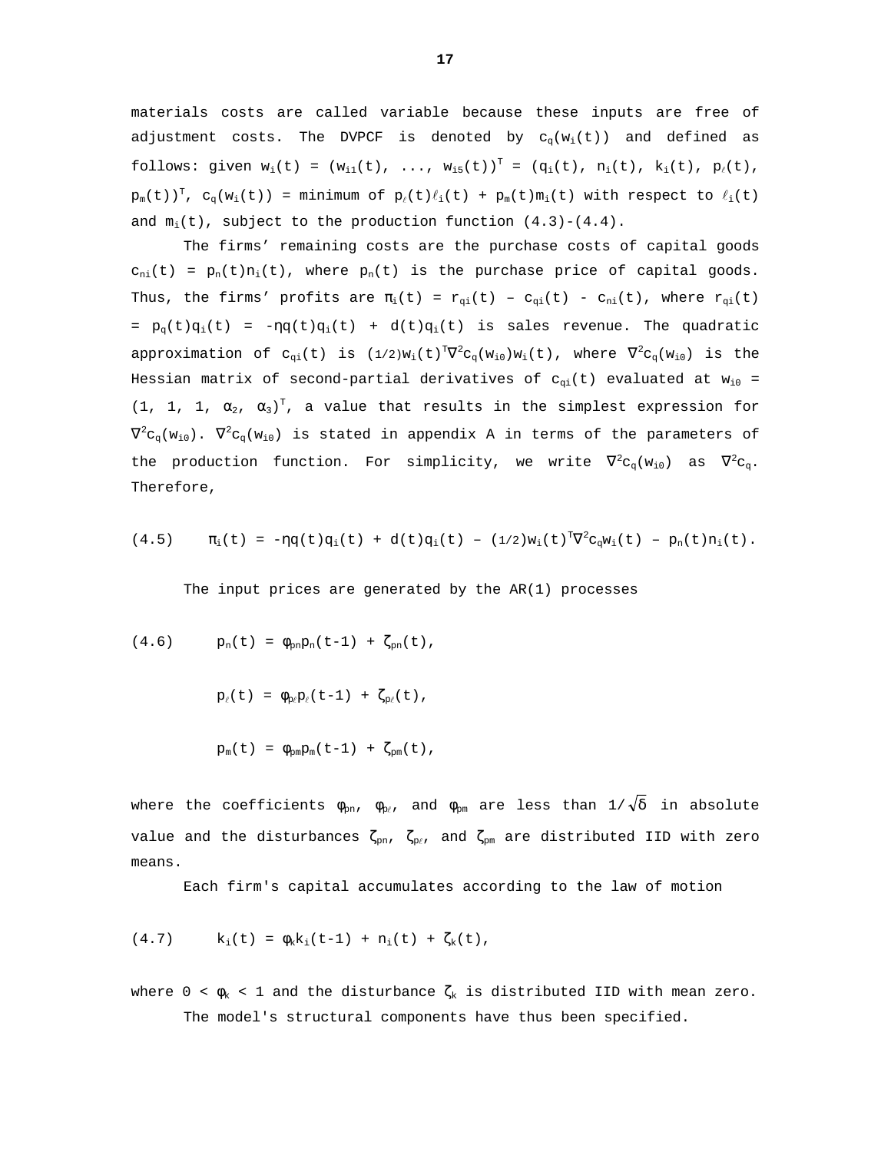materials costs are called variable because these inputs are free of adjustment costs. The DVPCF is denoted by  $c_q(w_i(t))$  and defined as follows: given  $w_i(t) = (w_{i1}(t), ..., w_{i5}(t))^T = (q_i(t), n_i(t), k_i(t), p_\ell(t),$  $p_m(t)$ )<sup>T</sup>,  $c_q(w_i(t))$  = minimum of  $p_{\ell}(t)l_i(t)$  +  $p_m(t)m_i(t)$  with respect to  $l_i(t)$ and  $m_i(t)$ , subject to the production function  $(4.3)-(4.4)$ .

The firms' remaining costs are the purchase costs of capital goods  $c_{ni}(t) = p_n(t)n_i(t)$ , where  $p_n(t)$  is the purchase price of capital goods. Thus, the firms' profits are  $\pi_i(t) = r_{qi}(t) - c_{qi}(t) - c_{ni}(t)$ , where  $r_{qi}(t)$ =  $p_q(t)q_i(t)$  =  $-nq(t)q_i(t)$  + d(t) $q_i(t)$  is sales revenue. The quadratic approximation of  $c_{qi}(t)$  is  $(1/2)w_i(t)^T\overline{V}{}^2c_q(w_{i0})w_i(t)$ , where  $\overline{V}{}^2c_q(w_{i0})$  is the Hessian matrix of second-partial derivatives of  $c_{qi}(t)$  evaluated at  $w_{i0}$  = (1, 1, 1,  $\alpha_2$ ,  $\alpha_3$ )<sup>T</sup>, a value that results in the simplest expression for  $\nabla^2 \mathtt{C}_\mathtt{q}(\mathtt{w}_{\mathtt{i}0})$ .  $\nabla^2 \mathtt{C}_\mathtt{q}(\mathtt{w}_{\mathtt{i}0})$  is stated in appendix A in terms of the parameters of the production function. For simplicity, we write  $\nabla^2 c_q(w_{i0})$  as  $\nabla^2 c_q$ . Therefore,

$$
(4.5) \t\t \pi_i(t) = -\eta q(t) q_i(t) + d(t) q_i(t) - (1/2) w_i(t)^T \nabla^2 c_q w_i(t) - p_n(t) n_i(t).
$$

The input prices are generated by the AR(1) processes

(4.6) 
$$
p_n(t) = \phi_{pn} p_n(t-1) + \zeta_{pn}(t)
$$
,

$$
p_{\ell}(t) = \phi_{p_{\ell}} p_{\ell}(t-1) + \zeta_{p_{\ell}}(t),
$$

$$
p_m(t) = \phi_{pm}p_m(t-1) + \zeta_{pm}(t),
$$

where the coefficients  $\phi_{pn}$ ,  $\phi_{p\ell}$ , and  $\phi_{pm}$  are less than  $1/\sqrt{\delta}$  in absolute value and the disturbances  $\zeta_{pn}$ ,  $\zeta_{p\ell}$ , and  $\zeta_{pm}$  are distributed IID with zero means.

Each firm's capital accumulates according to the law of motion

(4.7) 
$$
k_i(t) = \phi_k k_i(t-1) + n_i(t) + \zeta_k(t)
$$
,

where  $0 < \phi_k < 1$  and the disturbance  $\zeta_k$  is distributed IID with mean zero. The model's structural components have thus been specified.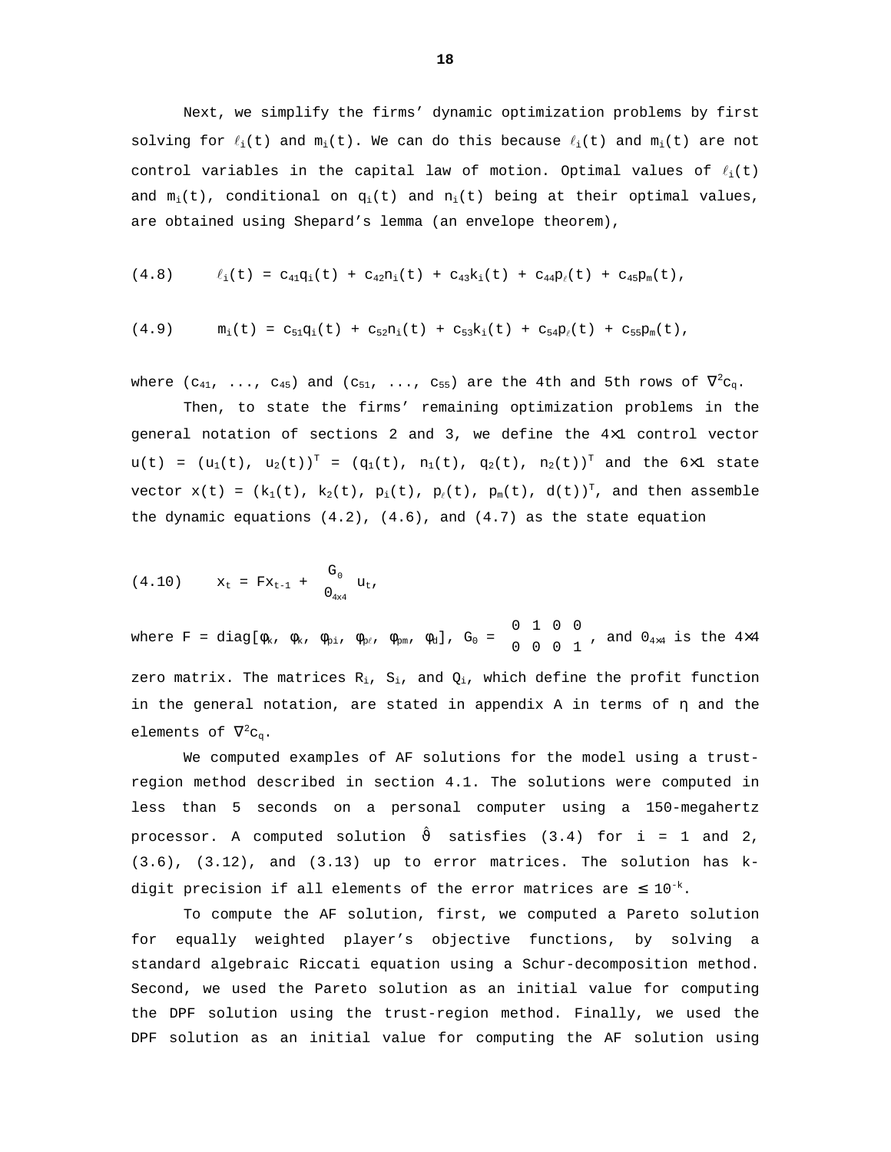Next, we simplify the firms' dynamic optimization problems by first solving for  $\ell_i(t)$  and  $m_i(t)$ . We can do this because  $\ell_i(t)$  and  $m_i(t)$  are not control variables in the capital law of motion. Optimal values of  $\ell_i(t)$ and  $m_i(t)$ , conditional on  $q_i(t)$  and  $n_i(t)$  being at their optimal values, are obtained using Shepard's lemma (an envelope theorem),

$$
(4.8) \t\t l_i(t) = c_{41}q_i(t) + c_{42}n_i(t) + c_{43}k_i(t) + c_{44}p_i(t) + c_{45}p_m(t),
$$

$$
(4.9) \t m_i(t) = c_{51}q_i(t) + c_{52}n_i(t) + c_{53}k_i(t) + c_{54}p_i(t) + c_{55}p_m(t),
$$

where ( $c_{41}$ , ...,  $c_{45}$ ) and ( $c_{51}$ , ...,  $c_{55}$ ) are the 4th and 5th rows of  $\nabla^2 c_{\text{q}}$ .

Then, to state the firms' remaining optimization problems in the general notation of sections 2 and 3, we define the 4×1 control vector  $u(t) = (u_1(t), u_2(t))^T = (q_1(t), n_1(t), q_2(t), n_2(t))^T$  and the 6x1 state vector  $x(t)$  = ( $k_1(t)$ ,  $k_2(t)$ ,  $p_i(t)$ ,  $p_\ell(t)$ ,  $p_m(t)$ ,  $d(t)$ )<sup>T</sup>, and then assemble the dynamic equations  $(4.2)$ ,  $(4.6)$ , and  $(4.7)$  as the state equation

(4.10) 
$$
x_t = Fx_{t-1} + \begin{bmatrix} G_0 \\ 0_{4x4} \end{bmatrix} u_t
$$
,

where F = diag[ $\phi_{\rm k}$ ,  $\phi_{\rm k}$ ,  $\phi_{\rm pi}$ ,  $\phi_{\rm p\ell}$ ,  $\phi_{\rm pm}$ ,  $\phi_{\rm d}$ ],  $G_0$  =  $\begin{bmatrix} 0 & 1 & 0 & 0 \ 0 & 0 & 0 & 1 \end{bmatrix}$ I  $\begin{bmatrix} 0 & 1 & 0 & 0 \\ 0 & 0 & 0 & 1 \end{bmatrix}$ , and  $0_{4\times 4}$  is the  $4\times 4$ zero matrix. The matrices  $R_i$ ,  $S_i$ , and  $Q_i$ , which define the profit function in the general notation, are stated in appendix A in terms of η and the elements of  $\nabla^2 c_q$ .

We computed examples of AF solutions for the model using a trustregion method described in section 4.1. The solutions were computed in less than 5 seconds on a personal computer using a 150-megahertz processor. A computed solution  $\hat{\vartheta}$  satisfies (3.4) for i = 1 and 2, (3.6), (3.12), and (3.13) up to error matrices. The solution has kdigit precision if all elements of the error matrices are  $\leq 10^{-k}$ .

To compute the AF solution, first, we computed a Pareto solution for equally weighted player's objective functions, by solving a standard algebraic Riccati equation using a Schur-decomposition method. Second, we used the Pareto solution as an initial value for computing the DPF solution using the trust-region method. Finally, we used the DPF solution as an initial value for computing the AF solution using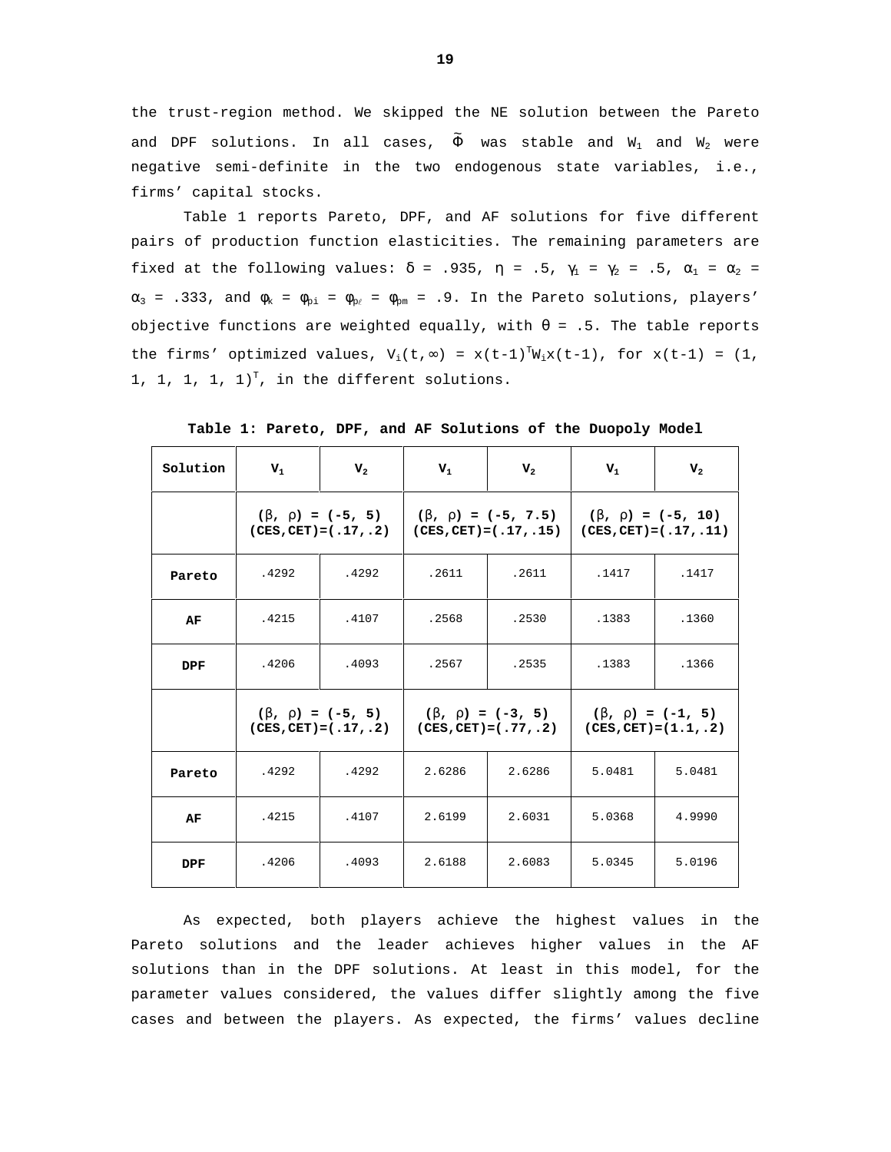the trust-region method. We skipped the NE solution between the Pareto and DPF solutions. In all cases,  $\tilde{\Phi}$  was stable and  $\mathtt{W}_1$  and  $\mathtt{W}_2$  were negative semi-definite in the two endogenous state variables, i.e., firms' capital stocks.

Table 1 reports Pareto, DPF, and AF solutions for five different pairs of production function elasticities. The remaining parameters are fixed at the following values:  $\delta$  = .935,  $\eta$  = .5,  $\gamma_1$  =  $\gamma_2$  = .5,  $\alpha_1$  =  $\alpha_2$  =  $\alpha_3$  = .333, and  $\phi_k$  =  $\phi_{pi}$  =  $\phi_{pr}$  =  $\phi_{pm}$  = .9. In the Pareto solutions, players' objective functions are weighted equally, with  $\theta = .5$ . The table reports the firms' optimized values,  $V_i(t, \infty) = x(t-1)^T W_i x(t-1)$ , for  $x(t-1) = (1,$ 1, 1, 1, 1,  $1$ <sup>T</sup>, in the different solutions.

| Solution   | $\mathbf{V}_1$           | $V_{2}$ | $V_1$                                                                                                                              | $V_{2}$ | $V_1$                     | $V_{2}$ |  |
|------------|--------------------------|---------|------------------------------------------------------------------------------------------------------------------------------------|---------|---------------------------|---------|--|
|            | $(CES, CET) = (.17, .2)$ |         | $(\beta, \rho) = (-5, 5)$ $(\beta, \rho) = (-5, 7.5)$ $(\beta, \rho) = (-5, 10)$<br>$\vert$ (CES, CET) = (.17,.15)                 |         | $(CES, CET) = (.17, .11)$ |         |  |
| Pareto     | .4292                    | .4292   | .2611                                                                                                                              | .2611   | .1417                     | .1417   |  |
| AF         | .4215                    | .4107   | .2568                                                                                                                              | .2530   | .1383                     | .1360   |  |
| <b>DPF</b> | .4206                    | .4093   | .2567                                                                                                                              | .2535   | .1383                     | .1366   |  |
|            | $(CES, CET) = (.17, .2)$ |         | $(\beta, \rho) = (-5, 5)$ $(\beta, \rho) = (-3, 5)$ $(\beta, \rho) = (-1, 5)$<br>$(CES, CET) = (.77, .2)$ (CES, CET) = $(1.1, .2)$ |         |                           |         |  |
| Pareto     | .4292                    | .4292   | 2.6286                                                                                                                             | 2.6286  | 5.0481                    | 5.0481  |  |
| AF         | .4215                    | .4107   | 2.6199                                                                                                                             | 2.6031  | 5.0368                    | 4.9990  |  |
| <b>DPF</b> | .4206                    | .4093   | 2.6188                                                                                                                             | 2.6083  | 5.0345                    | 5.0196  |  |

**Table 1: Pareto, DPF, and AF Solutions of the Duopoly Model**

As expected, both players achieve the highest values in the Pareto solutions and the leader achieves higher values in the AF solutions than in the DPF solutions. At least in this model, for the parameter values considered, the values differ slightly among the five cases and between the players. As expected, the firms' values decline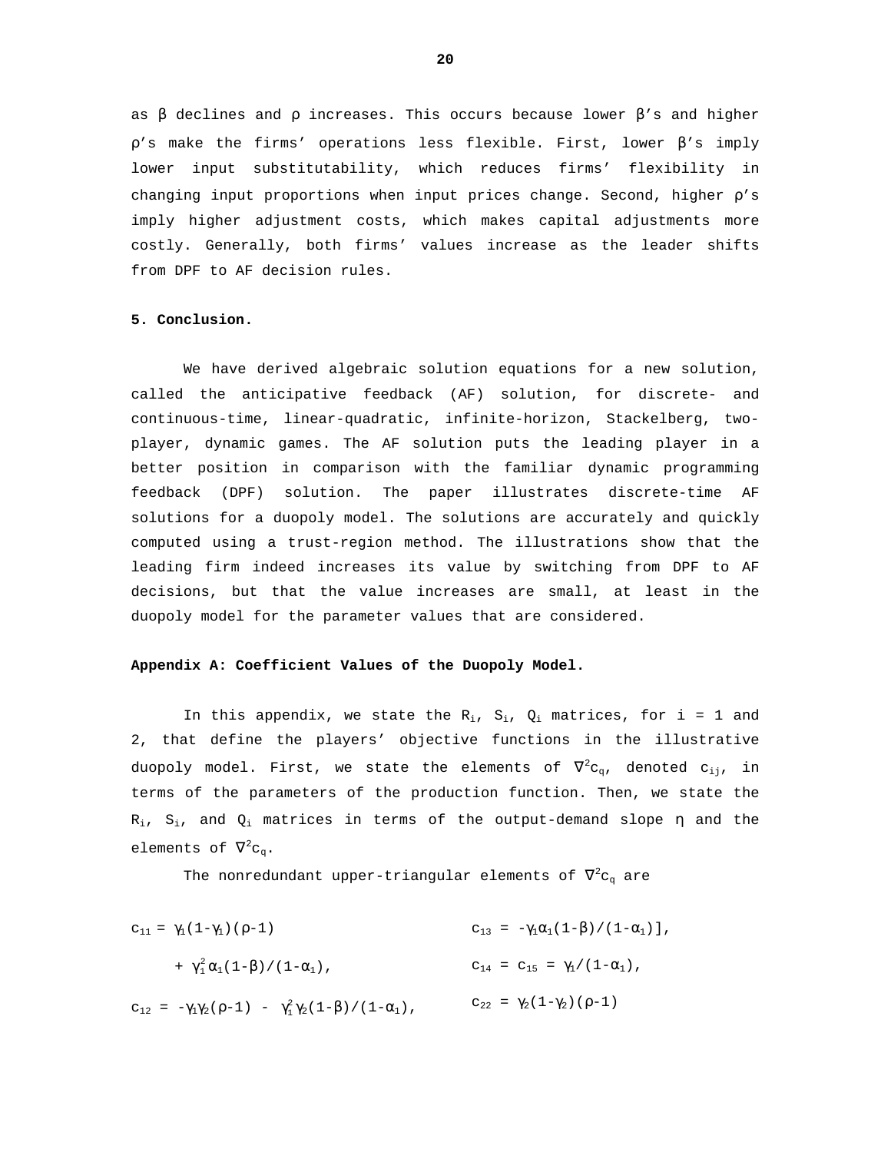as  $\beta$  declines and  $\rho$  increases. This occurs because lower  $\beta$ 's and higher  $\rho$ 's make the firms' operations less flexible. First, lower  $\beta$ 's imply lower input substitutability, which reduces firms' flexibility in changing input proportions when input prices change. Second, higher  $\rho$ 's imply higher adjustment costs, which makes capital adjustments more costly. Generally, both firms' values increase as the leader shifts from DPF to AF decision rules.

#### **5. Conclusion.**

We have derived algebraic solution equations for a new solution, called the anticipative feedback (AF) solution, for discrete- and continuous-time, linear-quadratic, infinite-horizon, Stackelberg, twoplayer, dynamic games. The AF solution puts the leading player in a better position in comparison with the familiar dynamic programming feedback (DPF) solution. The paper illustrates discrete-time AF solutions for a duopoly model. The solutions are accurately and quickly computed using a trust-region method. The illustrations show that the leading firm indeed increases its value by switching from DPF to AF decisions, but that the value increases are small, at least in the duopoly model for the parameter values that are considered.

# **Appendix A: Coefficient Values of the Duopoly Model.**

In this appendix, we state the  $R_i$ ,  $S_i$ ,  $Q_i$  matrices, for i = 1 and 2, that define the players' objective functions in the illustrative duopoly model. First, we state the elements of  $\nabla^2 {\mathtt c}_{\mathtt q}$ , denoted  ${\mathtt c}_{\mathtt{i}\mathtt{j}}$ , in terms of the parameters of the production function. Then, we state the  $R_i$ ,  $S_i$ , and  $Q_i$  matrices in terms of the output-demand slope  $\eta$  and the elements of  $\nabla^2 c_q$ .

The nonredundant upper-triangular elements of  $\nabla^2 {\mathsf c}_{\mathsf q}$  are

 $c_{11} = γ_1(1-γ_1)(ρ-1)$  $+ \gamma_1^2 \alpha_1 (1-\beta) / (1-\alpha_1)$ ,  $c_{12} = -\gamma_1 \gamma_2 (\rho - 1) - \gamma_1^2 \gamma_2 (1 - \beta) / (1 - \alpha_1)$ ,  $c_{22} = \gamma_2 (1 - \gamma_2) (\rho - 1)$  $c_{13} = -\gamma_1 \alpha_1 (1-\beta) / (1-\alpha_1)$ ],  $c_{14} = c_{15} = \gamma_1 / (1 - \alpha_1)$ ,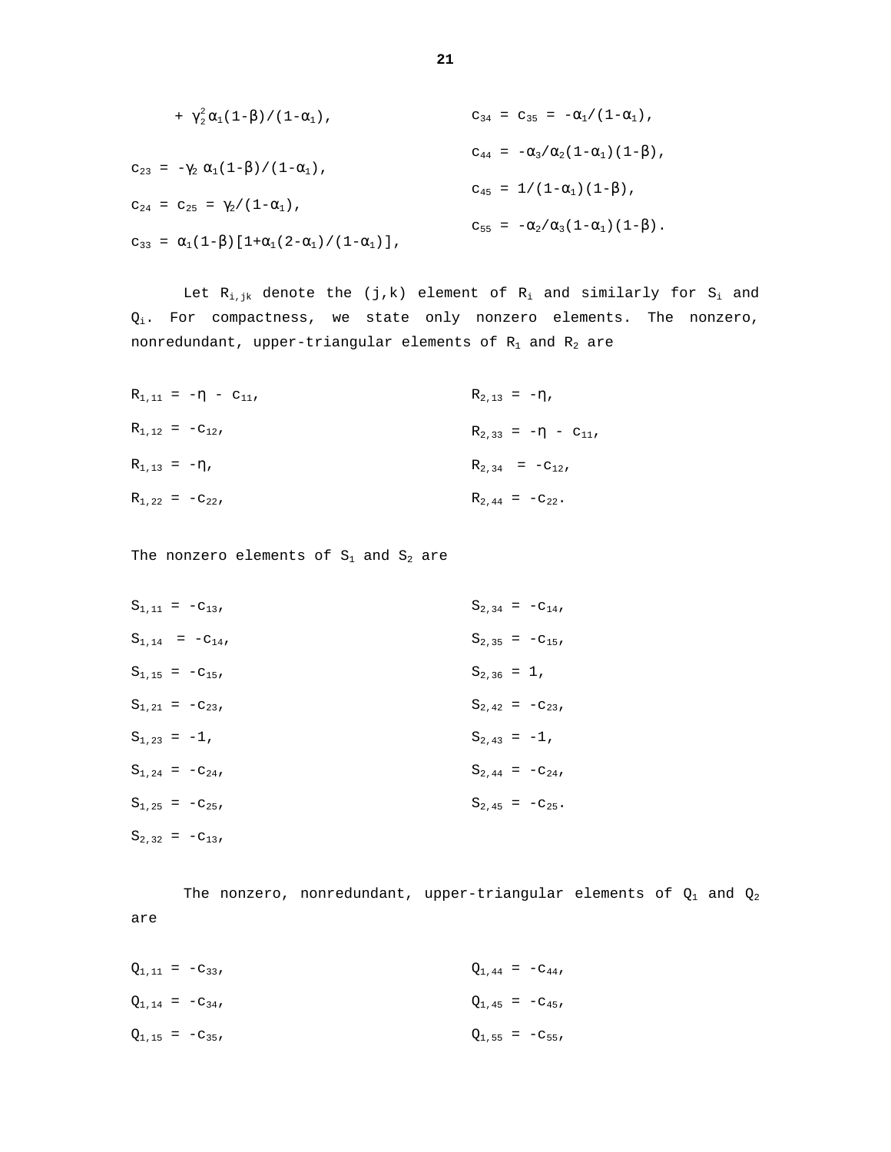+ 
$$
\gamma_2^2 \alpha_1 (1-\beta) / (1-\alpha_1)
$$
,  
\n
$$
c_{23} = -\gamma_2 \alpha_1 (1-\beta) / (1-\alpha_1)
$$
\n
$$
c_{24} = c_{25} = \gamma_2 / (1-\alpha_1)
$$
\n
$$
c_{24} = c_{25} = \gamma_2 / (1-\alpha_1)
$$
\n
$$
c_{34} = c_{35} = -\alpha_1 / (1-\alpha_1)
$$
\n
$$
c_{44} = -\alpha_3 / \alpha_2 (1-\alpha_1) (1-\beta)
$$
\n
$$
c_{45} = 1 / (1-\alpha_1) (1-\beta)
$$
\n
$$
c_{55} = -\alpha_2 / \alpha_3 (1-\alpha_1) (1-\beta)
$$
\n
$$
c_{55} = -\alpha_2 / \alpha_3 (1-\alpha_1) (1-\beta)
$$

Let  $R_{i,jk}$  denote the (j,k) element of  $R_i$  and similarly for  $S_i$  and  $Q_i$ . For compactness, we state only nonzero elements. The nonzero, nonredundant, upper-triangular elements of  $R_1$  and  $R_2$  are

| $R_{1,11} = -\eta - c_{11}$ | $R_{2,13} = -\eta$ ,        |
|-----------------------------|-----------------------------|
| $R_{1,12} = -c_{12}$        | $R_{2,33} = -\eta - c_{11}$ |
| $R_{1,13} = -\eta$ ,        | $R_{2,34} = -C_{12}$        |
| $R_{1,22} = -c_{22}$        | $R_{2,44} = -c_{22}$ .      |

The nonzero elements of  $S_1$  and  $S_2$  are

| $S_{1,11} = -C_{13},$ | $S_{2,34} = -c_{14}$  |
|-----------------------|-----------------------|
| $S_{1,14} = -C_{14},$ | $S_{2,35} = -c_{15}$  |
| $S_{1,15} = -C_{15}$  | $S_{2,36} = 1$ ,      |
| $S_{1,21} = -C_{23},$ | $S_{2,42} = -c_{23}$  |
| $S_{1,23} = -1$ ,     | $S_{2,43} = -1$ ,     |
| $S_{1,24} = -C_{24},$ | $S_{2,44} = -c_{24}$  |
| $S_{1,25} = -C_{25},$ | $S_{2,45} = -c_{25}.$ |
| $S_{2,32} = -C_{13},$ |                       |

The nonzero, nonredundant, upper-triangular elements of  $Q_1$  and  $Q_2$ are

| $Q_{1,11} = -C_{33}$ |  | $Q_{1,44} = -C_{44}$ |
|----------------------|--|----------------------|
| $Q_{1,14} = -C_{34}$ |  | $Q_{1,45} = -C_{45}$ |
| $Q_{1,15} = -C_{35}$ |  | $Q_{1,55} = -C_{55}$ |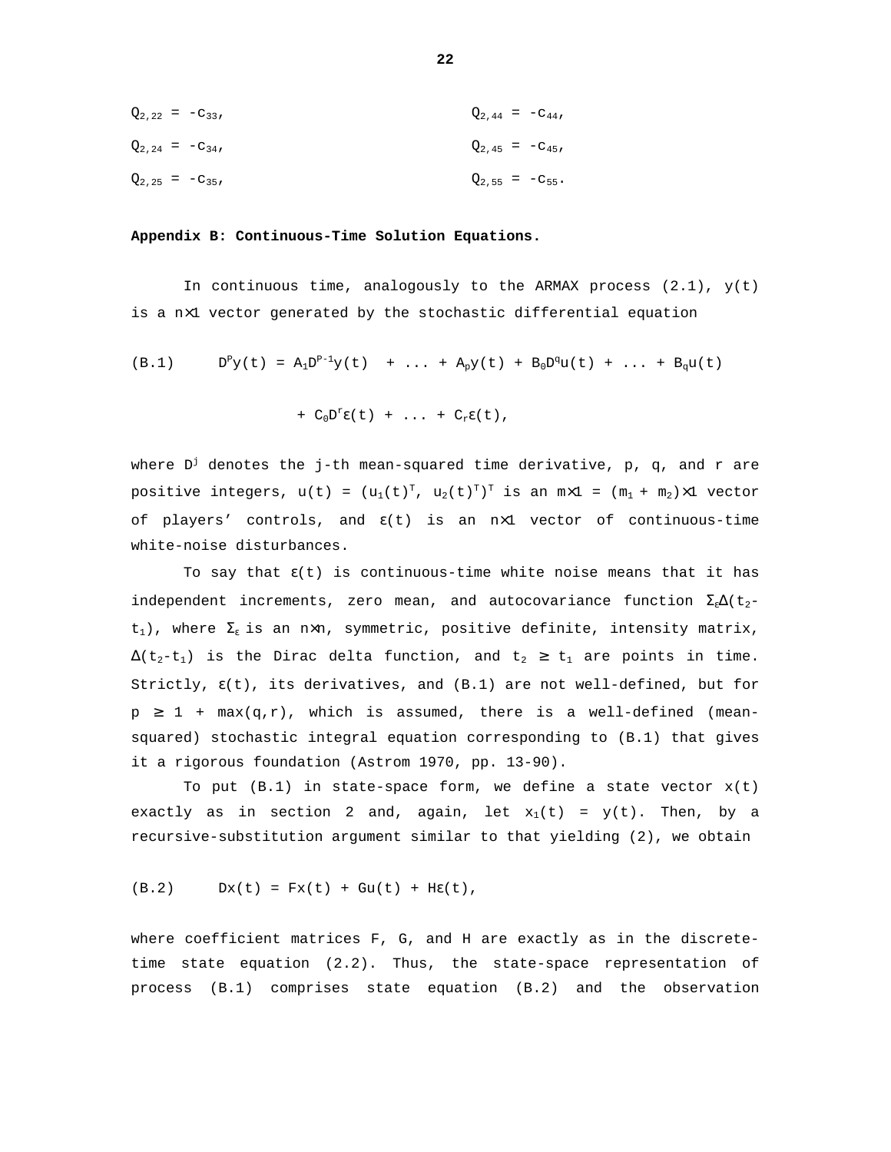| $Q_{2,22} = -C_{33},$ |                      | $Q_{2,44} = -C_{44}$   |
|-----------------------|----------------------|------------------------|
| $Q_{2,24} = -C_{34},$ | $Q_{2,45} = -C_{45}$ |                        |
| $Q_{2,25} = -C_{35}$  |                      | $Q_{2,55} = -C_{55}$ . |

#### **Appendix B: Continuous-Time Solution Equations.**

In continuous time, analogously to the ARMAX process  $(2.1)$ ,  $y(t)$ is a n×1 vector generated by the stochastic differential equation

(B.1) 
$$
D^P y(t) = A_1 D^{P-1} y(t) + ... + A_p y(t) + B_0 D^q u(t) + ... + B_q u(t)
$$

+ 
$$
C_0D^{\text{r}}\epsilon(t)
$$
 + ... +  $C_r\epsilon(t)$ ,

where D $^\text{j}$  denotes the j-th mean-squared time derivative, p, q, and r are positive integers,  $u(t)$  =  $(u_1(t)^T, u_2(t)^T)^T$  is an  $m \times 1$  =  $(m_1 + m_2) \times 1$  vector of players' controls, and  $\varepsilon(t)$  is an nx1 vector of continuous-time white-noise disturbances.

To say that  $\epsilon(t)$  is continuous-time white noise means that it has independent increments, zero mean, and autocovariance function  $\Sigma_{\varepsilon}\Delta(t_{2}$ t<sub>1</sub>), where  $\Sigma_{\varepsilon}$  is an n×n, symmetric, positive definite, intensity matrix,  $\Delta(t_2-t_1)$  is the Dirac delta function, and  $t_2 \geq t_1$  are points in time. Strictly,  $\epsilon(t)$ , its derivatives, and  $(B.1)$  are not well-defined, but for  $p \ge 1 + \max(q,r)$ , which is assumed, there is a well-defined (meansquared) stochastic integral equation corresponding to (B.1) that gives it a rigorous foundation (Astrom 1970, pp. 13-90).

To put  $(B.1)$  in state-space form, we define a state vector  $x(t)$ exactly as in section 2 and, again, let  $x_1(t) = y(t)$ . Then, by a recursive-substitution argument similar to that yielding (2), we obtain

$$
(B.2) \t Dx(t) = Fx(t) + Gu(t) + H\epsilon(t),
$$

where coefficient matrices F, G, and H are exactly as in the discretetime state equation (2.2). Thus, the state-space representation of process (B.1) comprises state equation (B.2) and the observation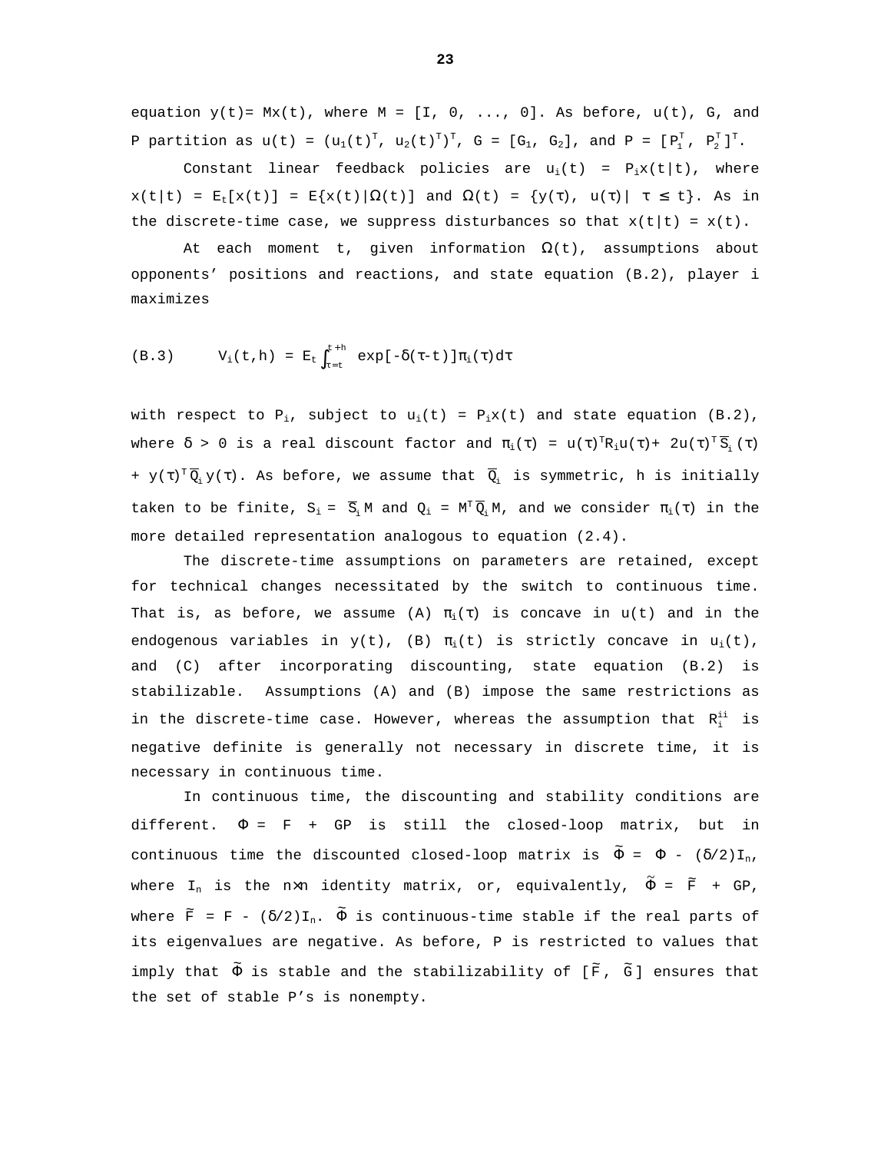equation  $y(t)$  =  $Mx(t)$ , where  $M = [I, 0, ..., 0]$ . As before,  $u(t)$ , G, and P partition as  $u(t) = (u_1(t)^T, u_2(t)^T)^T, G = [G_1, G_2],$  and  $P = [P_1^T, P_2^T]^T$ .

Constant linear feedback policies are  $u_i(t) = P_i x(t|t)$ , where  $x(t|t) = E_t[x(t)] = E\{x(t)|\Omega(t)\}$  and  $\Omega(t) = \{y(\tau), u(\tau) | \tau \le t\}$ . As in the discrete-time case, we suppress disturbances so that  $x(t|t) = x(t)$ .

At each moment t, given information  $\Omega(t)$ , assumptions about opponents' positions and reactions, and state equation (B.2), player i maximizes

(B.3) 
$$
V_i(t,h) = E_t \int_{\tau=t}^{t+h} exp[-\delta(\tau-t)] \pi_i(\tau) d\tau
$$

with respect to  $P_i$ , subject to  $u_i(t) = P_i x(t)$  and state equation (B.2), where  $\delta$  > 0 is a real discount factor and  $\pi_{i}(\tau)$  =  $u(\tau)^{T}R_{i}u(\tau)+2u(\tau)^{T}\overline{S}_{i}(\tau)$ +  $y(\tau)^T \overline{Q}_i y(\tau)$ . As before, we assume that  $\overline{Q}_i$  is symmetric, h is initially taken to be finite,  $S_i = \overline{S_i} M$  and  $Q_i = M^T \overline{Q_i} M$ , and we consider  $\pi_i(\tau)$  in the more detailed representation analogous to equation (2.4).

The discrete-time assumptions on parameters are retained, except for technical changes necessitated by the switch to continuous time. That is, as before, we assume (A)  $\pi_i(\tau)$  is concave in  $u(t)$  and in the endogenous variables in  $y(t)$ , (B)  $\pi_i(t)$  is strictly concave in  $u_i(t)$ , and (C) after incorporating discounting, state equation (B.2) is stabilizable. Assumptions (A) and (B) impose the same restrictions as in the discrete-time case. However, whereas the assumption that  $R_i^{ii}$  is negative definite is generally not necessary in discrete time, it is necessary in continuous time.

In continuous time, the discounting and stability conditions are different.  $\Phi = F + GP$  is still the closed-loop matrix, but in continuous time the discounted closed-loop matrix is  $\tilde{\Phi}$  =  $\Phi$  - ( $\delta/2$ )I<sub>n</sub>, where I<sub>n</sub> is the n×n identity matrix, or, equivalently,  $\tilde{\Phi}$  =  $\widetilde{\text{F}}$  + GP, where  $\widetilde{F}$  = F -  $(\delta/2) \texttt{I}_n$ .  $\widetilde{\Phi}$  is continuous-time stable if the real parts of its eigenvalues are negative. As before, P is restricted to values that imply that  $\tilde{\Phi}$  is stable and the stabilizability of [ $\tilde{\mathbb{F}}$ ,  $\tilde{\mathbb{G}}$ ] ensures that the set of stable P's is nonempty.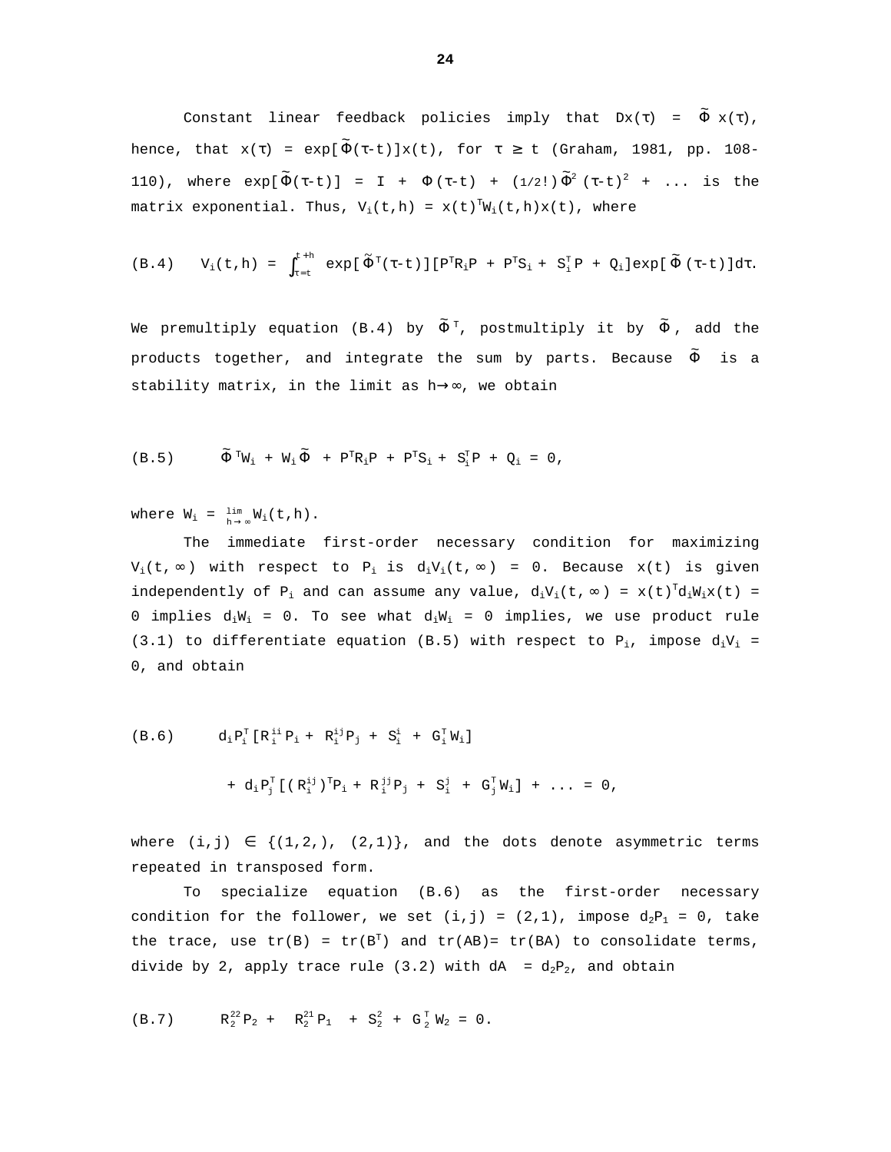Constant linear feedback policies imply that Dx(τ) =  $\tilde{\Phi}$  x(τ), hence, that  $\mathrm{x}(\tau)$  =  $\exp[\,\widetilde{\Phi}(\tau\text{-}t)\,] \mathrm{x}(t)$ , for  $\tau\,\geq\,$  t (Graham, 1981, pp. 108– 110), where  $\exp[\,\widetilde{\Phi}(\tau-t)\,]$  = I +  $\Phi\,(\tau-t)\,$  +  $(1/2!) \, \widetilde{\Phi}^2 \, \left(\tau\text{-}t\right)^2$  + ... is the matrix exponential. Thus,  $V_i(t,h) = x(t)^T W_i(t,h)x(t)$ , where

$$
(B.4) \qquad V_i(t,h) = \int_{\tau=t}^{\tau+h} \exp[\tilde{\Phi}^T(\tau-t)][P^TR_iP + P^TS_i + S_i^TP + Q_i]exp[\tilde{\Phi}(\tau-t)]d\tau.
$$

We premultiply equation (B.4) by  $\tilde{\Phi}^{\, \mathrm{\scriptscriptstyle T}}$ , postmultiply it by  $\tilde{\Phi}$  , add the products together, and integrate the sum by parts. Because  $\tilde{\Phi}$  is a stability matrix, in the limit as h→∞, we obtain

$$
(B.5) \t\t \tilde{\Phi}^{T}W_{i} + W_{i} \tilde{\Phi} + P^{T}R_{i}P + P^{T}S_{i} + S_{i}^{T}P + Q_{i} = 0,
$$

where  $W_i = \lim_{h \to \infty} W_i(t, h)$ .

The immediate first-order necessary condition for maximizing  $V_i(t, \infty)$  with respect to P<sub>i</sub> is  $d_iV_i(t, \infty) = 0$ . Because  $x(t)$  is given independently of P<sub>i</sub> and can assume any value,  $d_iV_i(t, \infty) = x(t)^T d_iW_ix(t) =$ 0 implies  $d_iW_i = 0$ . To see what  $d_iW_i = 0$  implies, we use product rule (3.1) to differentiate equation (B.5) with respect to  $P_i$ , impose  $d_iV_i$  = 0, and obtain

(B.6) 
$$
d_i P_i^T [R_i^{ii} P_i + R_i^{ij} P_j + S_i^i + G_i^T W_i]
$$

$$
+ d_i P_j^T [(R_i^{ij})^T P_i + R_i^{jj} P_j + S_i^j + G_j^T W_i] + ... = 0,
$$

where  $(i,j) \in \{(1,2,), (2,1)\},$  and the dots denote asymmetric terms repeated in transposed form.

To specialize equation (B.6) as the first-order necessary condition for the follower, we set  $(i, j) = (2, 1)$ , impose  $d_2P_1 = 0$ , take the trace, use  $tr(B) = tr(B<sup>T</sup>)$  and  $tr(AB) = tr(BA)$  to consolidate terms, divide by 2, apply trace rule (3.2) with  $dA = d_2P_2$ , and obtain

(B.7)  $R_2^{22}P_2 + R_2^{21}P_1 + S_2^2 + G_2^T W_2 = 0.$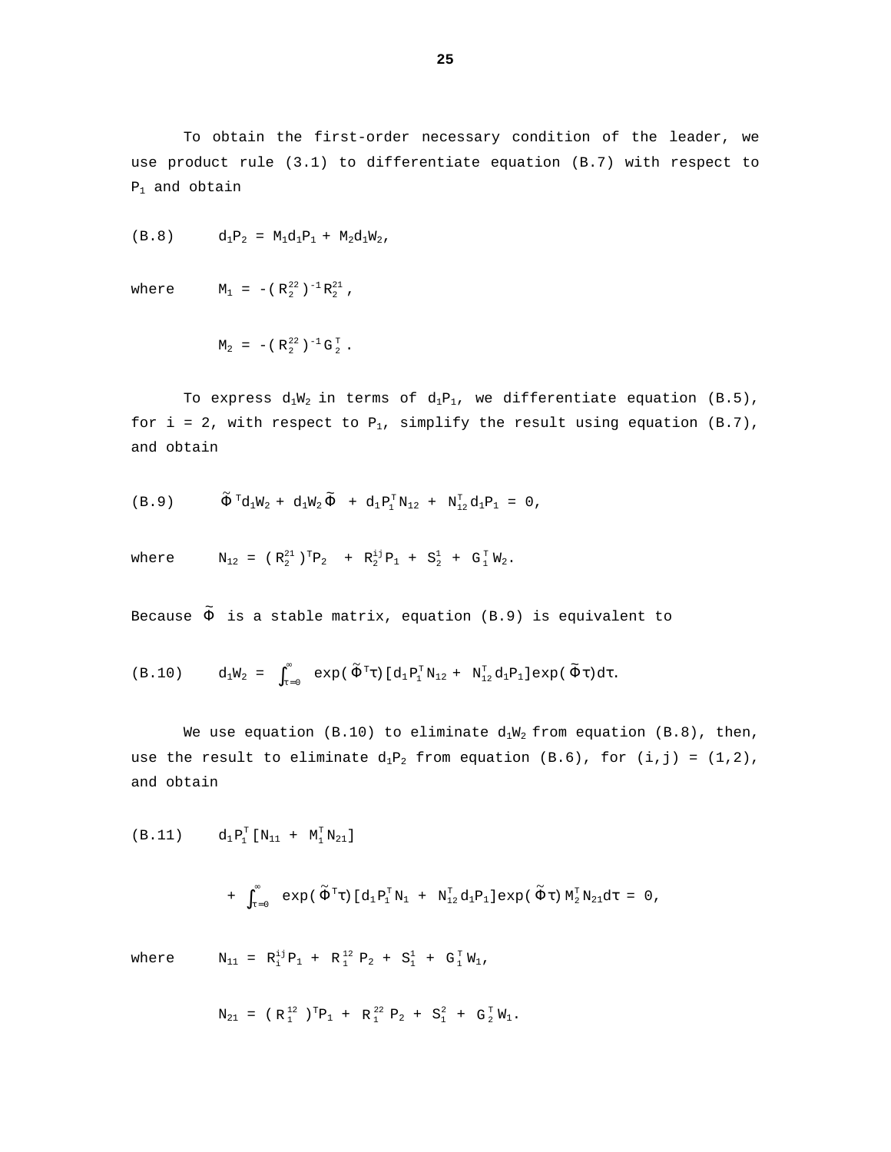To obtain the first-order necessary condition of the leader, we use product rule (3.1) to differentiate equation (B.7) with respect to  $P_1$  and obtain

$$
(B.8) \t d_1P_2 = M_1d_1P_1 + M_2d_1W_2,
$$

where  $M_1 = -({R_2}^{22})^{-1} R_2^{21}$ ,

$$
M_2 = - (R_2^{22})^{-1} G_2^{T}.
$$

To express  $d_1W_2$  in terms of  $d_1P_1$ , we differentiate equation (B.5), for i = 2, with respect to  $P_1$ , simplify the result using equation (B.7), and obtain

$$
\text{(B.9)} \qquad \widetilde{\Phi}^{\, \mathrm{T}} \! \text{d}_1 \text{W}_2 \, + \, \text{d}_1 \text{W}_2 \, \widetilde{\Phi} \;\; + \;\text{d}_1 \text{P}_1^{\mathrm{T}} \text{N}_{12} \; + \; \text{N}_{12}^{\mathrm{T}} \text{d}_1 \text{P}_1 \; = \; 0 \, ,
$$

where 
$$
N_{12} = (R_2^{21})^T P_2 + R_2^{1j} P_1 + S_2^1 + G_1^T W_2
$$
.

Because  $\tilde{\Phi}$  is a stable matrix, equation (B.9) is equivalent to

$$
\text{(B.10)} \qquad \mathrm{d}_1 \mathrm{W}_2 \ = \ \int_{\tau=0}^\infty \ \exp{(\,\widetilde{\Phi}^{\,\mathrm{T}}\tau)\,[\,\mathrm{d}_1 \mathrm{P}_1^{\,\mathrm{T}}\mathrm{N}_{12} \ + \ \mathrm{N}_{12}^{\mathrm{T}}\mathrm{d}_1 \mathrm{P}_1\,]\exp{(\,\widetilde{\Phi}\tau)\,\mathrm{d}\tau}}.
$$

We use equation (B.10) to eliminate  $d_1W_2$  from equation (B.8), then, use the result to eliminate  $d_1P_2$  from equation (B.6), for (i,j) = (1,2), and obtain

(B.11) 
$$
d_1 P_1^T [N_{11} + M_1^T N_{21}]
$$

+ 
$$
\int_{\tau=0}^{\infty} \exp(\tilde{\Phi}^T \tau) [d_1 P_1^T N_1 + N_{12}^T d_1 P_1] exp(\tilde{\Phi} \tau) M_2^T N_{21} d\tau = 0
$$
,

where  $N_{11} = R_1^{i,j} P_1 + R_1^{12} P_2 + S_1^1 + G_1^T W_1$ ,

$$
N_{21} = (R_1^{12})^T P_1 + R_1^{22} P_2 + S_1^2 + G_2^T W_1.
$$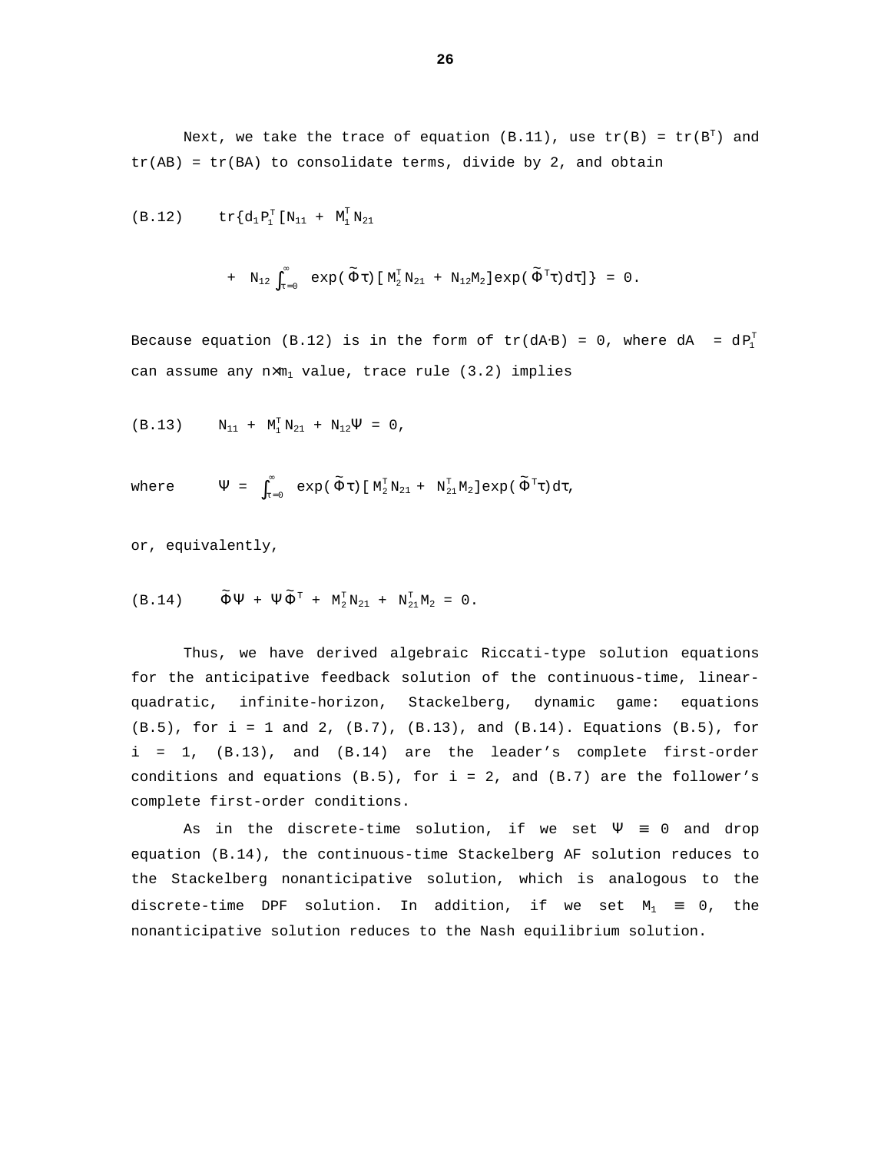Next, we take the trace of equation (B.11), use  $\text{tr}(\texttt{B})$  =  $\text{tr}(\texttt{B}^{\texttt{T}})$  and  $tr(AB) = tr(BA)$  to consolidate terms, divide by 2, and obtain

$$
\text{(B.12)} \qquad \quad \text{tr} \{ d_1 \, P_1^T \, [ \, N_{11} \ + \ M_1^T \, N_{21}
$$

+ N<sub>12</sub> 
$$
\int_{\tau=0}^{\infty}
$$
 exp( $\tilde{\Phi}$  $\tau$ ) [ M<sub>2</sub><sup>T</sup> N<sub>21</sub> + N<sub>12</sub>M<sub>2</sub>] exp( $\tilde{\Phi}$ <sup>T</sup> $\tau$ ) d $\tau$  ] = 0.

Because equation (B.12) is in the form of  $tr(dA·B) = 0$ , where  $dA = dP_1^T$ can assume any  $n \times m_1$  value, trace rule (3.2) implies

$$
(\text{B.13}) \qquad \text{N}_{11} \ + \ \text{M}_1^T \, \text{N}_{21} \ + \ \text{N}_{12} \Psi \ = \ 0 \ ,
$$

where 
$$
\Psi = \int_{\tau=0}^{\infty} \exp(\tilde{\Phi}\tau) [\mathbf{M}_2^{\mathrm{T}} \mathbf{N}_{21} + \mathbf{N}_{21}^{\mathrm{T}} \mathbf{M}_2] \exp(\tilde{\Phi}^{\mathrm{T}} \tau) d\tau,
$$

or, equivalently,

$$
\text{(B.14)} \qquad \widetilde{\Phi}\Psi \ + \ \Psi\widetilde{\Phi}^{\scriptscriptstyle{\text{T}}} \ + \ \text{M}_2^{\scriptscriptstyle{\text{T}}}\text{N}_{21} \ + \ \text{N}_{21}^{\scriptscriptstyle{\text{T}}}\text{M}_2 \ = \ 0 \ .
$$

Thus, we have derived algebraic Riccati-type solution equations for the anticipative feedback solution of the continuous-time, linearquadratic, infinite-horizon, Stackelberg, dynamic game: equations (B.5), for i = 1 and 2, (B.7), (B.13), and (B.14). Equations (B.5), for i = 1, (B.13), and (B.14) are the leader's complete first-order conditions and equations  $(B.5)$ , for  $i = 2$ , and  $(B.7)$  are the follower's complete first-order conditions.

As in the discrete-time solution, if we set  $\Psi = 0$  and drop equation (B.14), the continuous-time Stackelberg AF solution reduces to the Stackelberg nonanticipative solution, which is analogous to the discrete-time DPF solution. In addition, if we set  $M_1 \equiv 0$ , the nonanticipative solution reduces to the Nash equilibrium solution.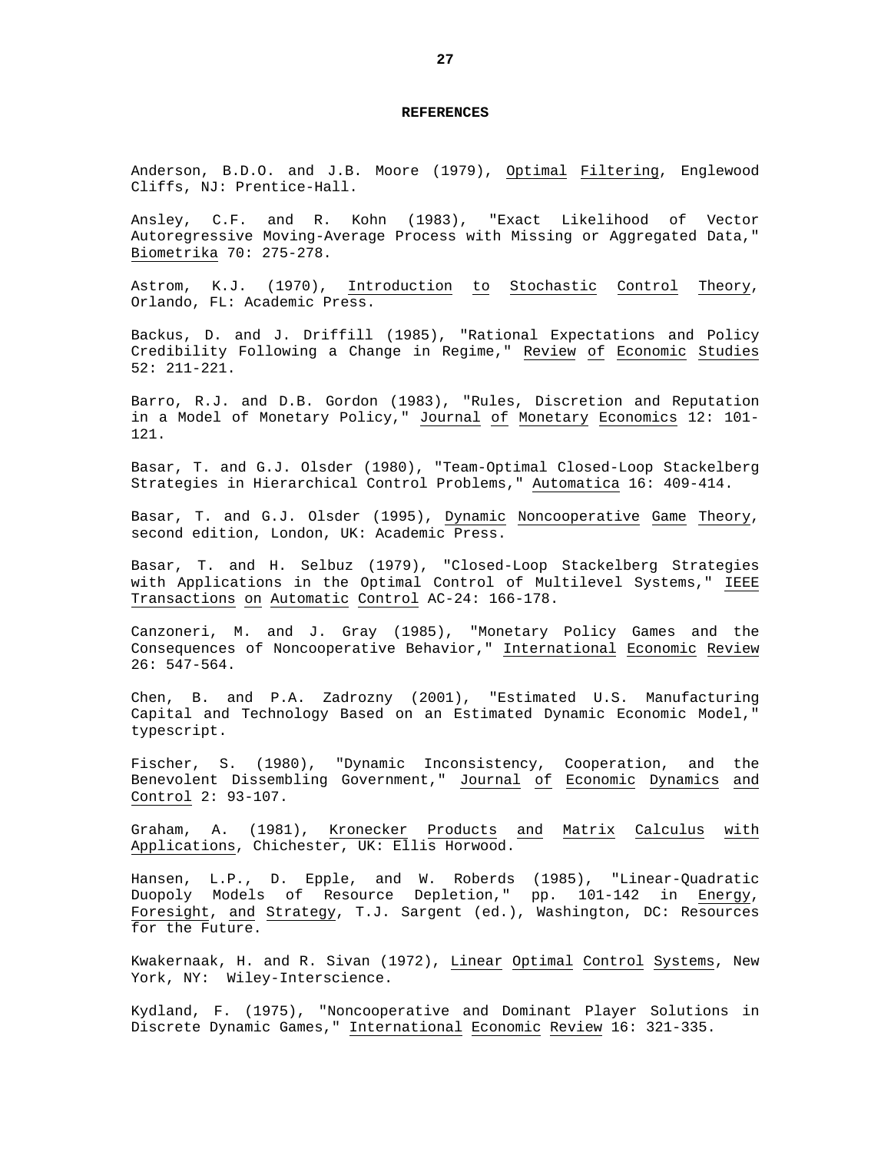#### **REFERENCES**

Anderson, B.D.O. and J.B. Moore (1979), Optimal Filtering, Englewood Cliffs, NJ: Prentice-Hall.

Ansley, C.F. and R. Kohn (1983), "Exact Likelihood of Vector Autoregressive Moving-Average Process with Missing or Aggregated Data," Biometrika 70: 275-278.

Astrom, K.J. (1970), Introduction to Stochastic Control Theory, Orlando, FL: Academic Press.

Backus, D. and J. Driffill (1985), "Rational Expectations and Policy Credibility Following a Change in Regime," Review of Economic Studies 52: 211-221.

Barro, R.J. and D.B. Gordon (1983), "Rules, Discretion and Reputation in a Model of Monetary Policy," Journal of Monetary Economics 12: 101- 121.

Basar, T. and G.J. Olsder (1980), "Team-Optimal Closed-Loop Stackelberg Strategies in Hierarchical Control Problems," Automatica 16: 409-414.

Basar, T. and G.J. Olsder (1995), Dynamic Noncooperative Game Theory, second edition, London, UK: Academic Press.

Basar, T. and H. Selbuz (1979), "Closed-Loop Stackelberg Strategies with Applications in the Optimal Control of Multilevel Systems," IEEE Transactions on Automatic Control AC-24: 166-178.

Canzoneri, M. and J. Gray (1985), "Monetary Policy Games and the Consequences of Noncooperative Behavior," International Economic Review 26: 547-564.

Chen, B. and P.A. Zadrozny (2001), "Estimated U.S. Manufacturing Capital and Technology Based on an Estimated Dynamic Economic Model," typescript.

Fischer, S. (1980), "Dynamic Inconsistency, Cooperation, and the Benevolent Dissembling Government," Journal of Economic Dynamics and Control 2: 93-107.

Graham, A. (1981), Kronecker Products and Matrix Calculus with Applications, Chichester, UK: Ellis Horwood.

Hansen, L.P., D. Epple, and W. Roberds (1985), "Linear-Quadratic Duopoly Models of Resource Depletion," pp. 101-142 in Energy, Foresight, and Strategy, T.J. Sargent (ed.), Washington, DC: Resources for the Future.

Kwakernaak, H. and R. Sivan (1972), Linear Optimal Control Systems, New York, NY: Wiley-Interscience.

Kydland, F. (1975), "Noncooperative and Dominant Player Solutions in Discrete Dynamic Games," International Economic Review 16: 321-335.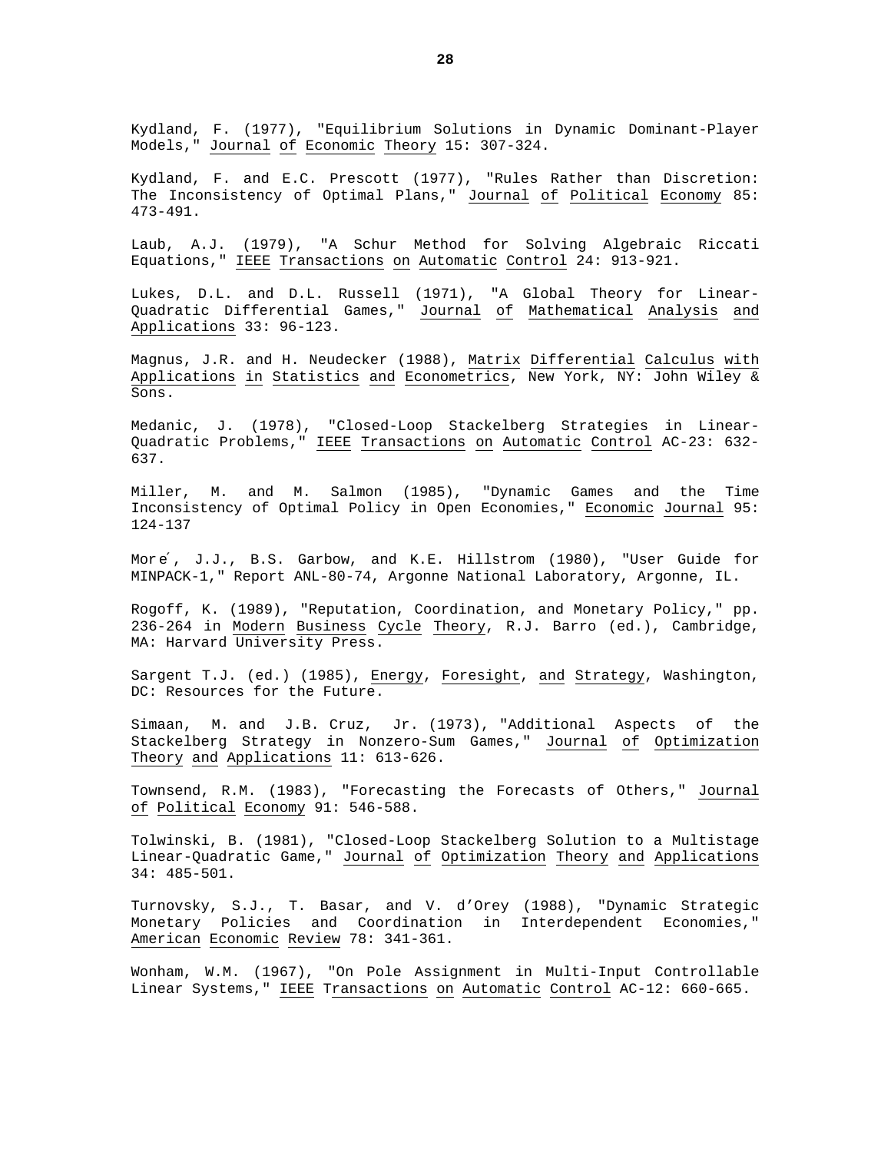Kydland, F. (1977), "Equilibrium Solutions in Dynamic Dominant-Player Models," Journal of Economic Theory 15: 307-324.

Kydland, F. and E.C. Prescott (1977), "Rules Rather than Discretion: The Inconsistency of Optimal Plans," Journal of Political Economy 85: 473-491.

Laub, A.J. (1979), "A Schur Method for Solving Algebraic Riccati Equations," IEEE Transactions on Automatic Control 24: 913-921.

Lukes, D.L. and D.L. Russell (1971), "A Global Theory for Linear-Quadratic Differential Games," Journal of Mathematical Analysis and Applications 33: 96-123.

Magnus, J.R. and H. Neudecker (1988), Matrix Differential Calculus with Applications in Statistics and Econometrics, New York, NY: John Wiley & Sons.

Medanic, J. (1978), "Closed-Loop Stackelberg Strategies in Linear-Quadratic Problems," IEEE Transactions on Automatic Control AC-23: 632- 637.

Miller, M. and M. Salmon (1985), "Dynamic Games and the Time Inconsistency of Optimal Policy in Open Economies," Economic Journal 95: 124-137

More', J.J., B.S. Garbow, and K.E. Hillstrom (1980), "User Guide for MINPACK-1," Report ANL-80-74, Argonne National Laboratory, Argonne, IL.

Rogoff, K. (1989), "Reputation, Coordination, and Monetary Policy," pp. 236-264 in Modern Business Cycle Theory, R.J. Barro (ed.), Cambridge, MA: Harvard University Press.

Sargent T.J. (ed.) (1985), Energy, Foresight, and Strategy, Washington, DC: Resources for the Future.

Simaan, M. and J.B. Cruz, Jr. (1973), "Additional Aspects of the Stackelberg Strategy in Nonzero-Sum Games," Journal of Optimization Theory and Applications 11: 613-626.

Townsend, R.M. (1983), "Forecasting the Forecasts of Others," Journal of Political Economy 91: 546-588.

Tolwinski, B. (1981), "Closed-Loop Stackelberg Solution to a Multistage Linear-Quadratic Game," Journal of Optimization Theory and Applications 34: 485-501.

Turnovsky, S.J., T. Basar, and V. d'Orey (1988), "Dynamic Strategic Monetary Policies and Coordination in Interdependent Economies," American Economic Review 78: 341-361.

Wonham, W.M. (1967), "On Pole Assignment in Multi-Input Controllable Linear Systems," IEEE Transactions on Automatic Control AC-12: 660-665.